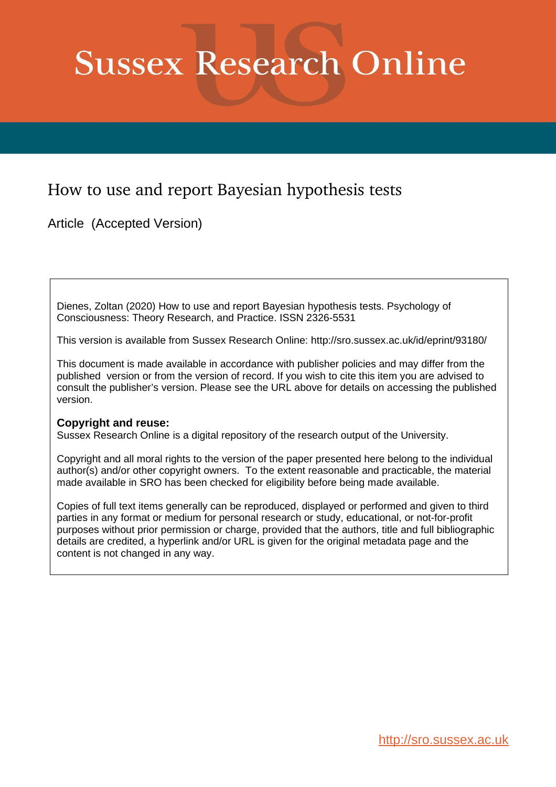# **Sussex Research Online**

# How to use and report Bayesian hypothesis tests

Article (Accepted Version)

Dienes, Zoltan (2020) How to use and report Bayesian hypothesis tests. Psychology of Consciousness: Theory Research, and Practice. ISSN 2326-5531

This version is available from Sussex Research Online: http://sro.sussex.ac.uk/id/eprint/93180/

This document is made available in accordance with publisher policies and may differ from the published version or from the version of record. If you wish to cite this item you are advised to consult the publisher's version. Please see the URL above for details on accessing the published version.

# **Copyright and reuse:**

Sussex Research Online is a digital repository of the research output of the University.

Copyright and all moral rights to the version of the paper presented here belong to the individual author(s) and/or other copyright owners. To the extent reasonable and practicable, the material made available in SRO has been checked for eligibility before being made available.

Copies of full text items generally can be reproduced, displayed or performed and given to third parties in any format or medium for personal research or study, educational, or not-for-profit purposes without prior permission or charge, provided that the authors, title and full bibliographic details are credited, a hyperlink and/or URL is given for the original metadata page and the content is not changed in any way.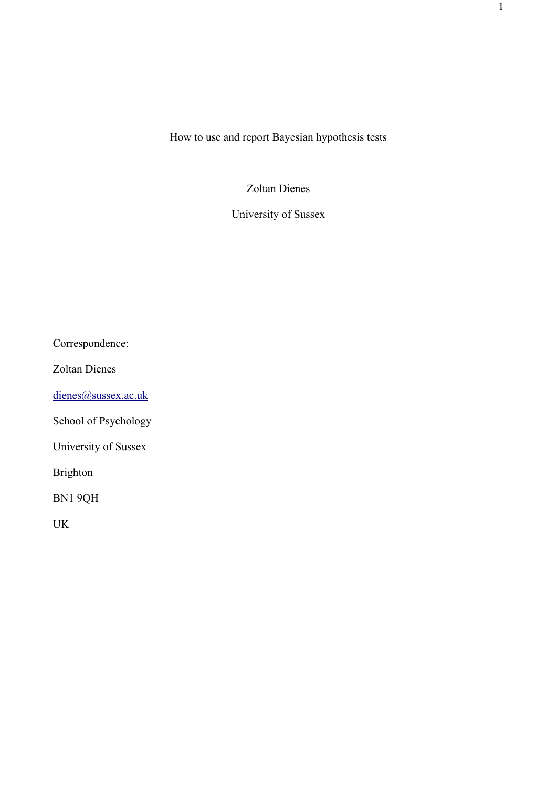How to use and report Bayesian hypothesis tests

Zoltan Dienes

University of Sussex

Correspondence:

Zoltan Dienes

[dienes@sussex.ac.uk](mailto:dienes@sussex.ac.uk)

School of Psychology

University of Sussex

Brighton

BN1 9QH

UK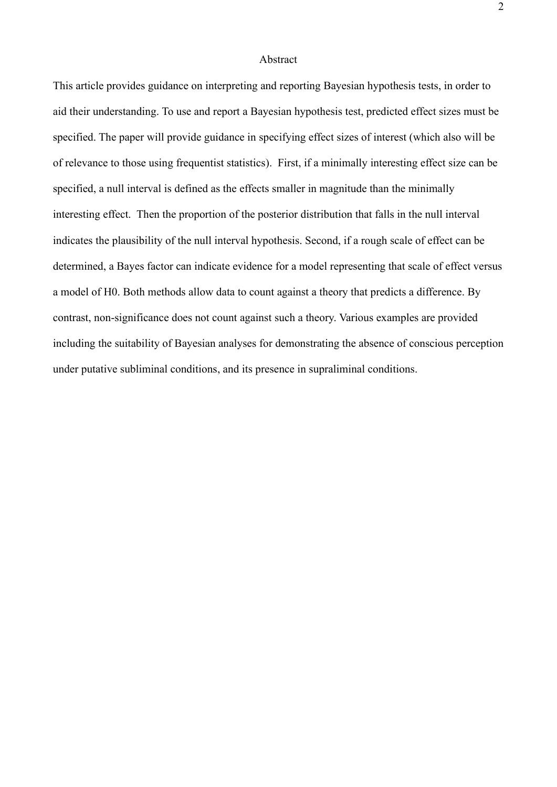# Abstract

This article provides guidance on interpreting and reporting Bayesian hypothesis tests, in order to aid their understanding. To use and report a Bayesian hypothesis test, predicted effect sizes must be specified. The paper will provide guidance in specifying effect sizes of interest (which also will be of relevance to those using frequentist statistics). First, if a minimally interesting effect size can be specified, a null interval is defined as the effects smaller in magnitude than the minimally interesting effect. Then the proportion of the posterior distribution that falls in the null interval indicates the plausibility of the null interval hypothesis. Second, if a rough scale of effect can be determined, a Bayes factor can indicate evidence for a model representing that scale of effect versus a model of H0. Both methods allow data to count against a theory that predicts a difference. By contrast, non-significance does not count against such a theory. Various examples are provided including the suitability of Bayesian analyses for demonstrating the absence of conscious perception under putative subliminal conditions, and its presence in supraliminal conditions.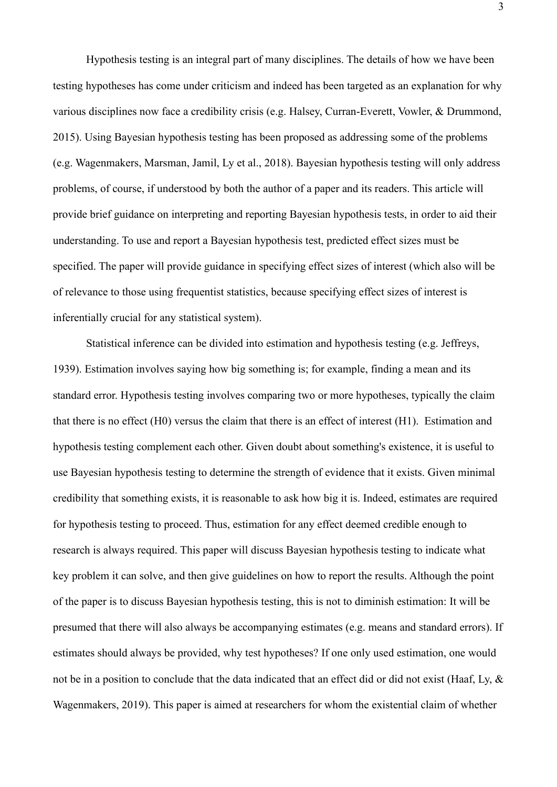Hypothesis testing is an integral part of many disciplines. The details of how we have been testing hypotheses has come under criticism and indeed has been targeted as an explanation for why various disciplines now face a credibility crisis (e.g. Halsey, Curran-Everett, Vowler, & Drummond, 2015). Using Bayesian hypothesis testing has been proposed as addressing some of the problems (e.g. Wagenmakers, Marsman, Jamil, Ly et al., 2018). Bayesian hypothesis testing will only address problems, of course, if understood by both the author of a paper and its readers. This article will provide brief guidance on interpreting and reporting Bayesian hypothesis tests, in order to aid their understanding. To use and report a Bayesian hypothesis test, predicted effect sizes must be specified. The paper will provide guidance in specifying effect sizes of interest (which also will be of relevance to those using frequentist statistics, because specifying effect sizes of interest is inferentially crucial for any statistical system).

Statistical inference can be divided into estimation and hypothesis testing (e.g. Jeffreys, 1939). Estimation involves saying how big something is; for example, finding a mean and its standard error. Hypothesis testing involves comparing two or more hypotheses, typically the claim that there is no effect (H0) versus the claim that there is an effect of interest (H1). Estimation and hypothesis testing complement each other. Given doubt about something's existence, it is useful to use Bayesian hypothesis testing to determine the strength of evidence that it exists. Given minimal credibility that something exists, it is reasonable to ask how big it is. Indeed, estimates are required for hypothesis testing to proceed. Thus, estimation for any effect deemed credible enough to research is always required. This paper will discuss Bayesian hypothesis testing to indicate what key problem it can solve, and then give guidelines on how to report the results. Although the point of the paper is to discuss Bayesian hypothesis testing, this is not to diminish estimation: It will be presumed that there will also always be accompanying estimates (e.g. means and standard errors). If estimates should always be provided, why test hypotheses? If one only used estimation, one would not be in a position to conclude that the data indicated that an effect did or did not exist (Haaf, Ly, & Wagenmakers, 2019). This paper is aimed at researchers for whom the existential claim of whether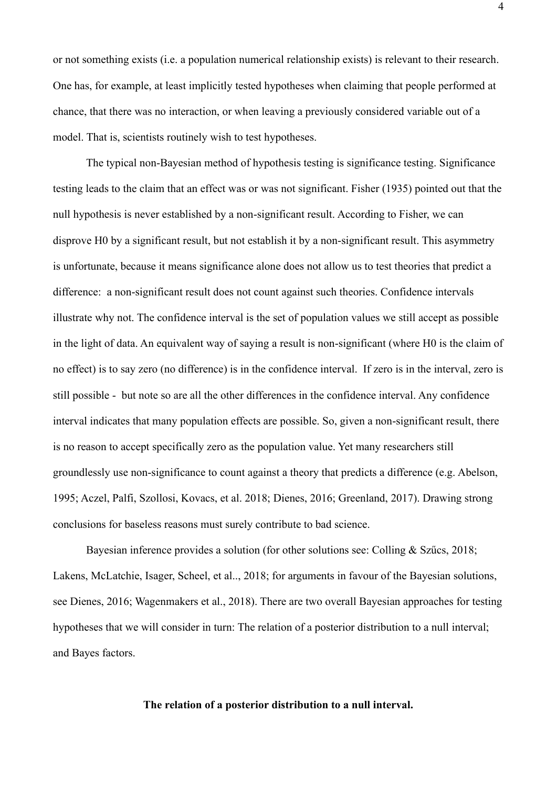or not something exists (i.e. a population numerical relationship exists) is relevant to their research. One has, for example, at least implicitly tested hypotheses when claiming that people performed at chance, that there was no interaction, or when leaving a previously considered variable out of a model. That is, scientists routinely wish to test hypotheses.

The typical non-Bayesian method of hypothesis testing is significance testing. Significance testing leads to the claim that an effect was or was not significant. Fisher (1935) pointed out that the null hypothesis is never established by a non-significant result. According to Fisher, we can disprove H0 by a significant result, but not establish it by a non-significant result. This asymmetry is unfortunate, because it means significance alone does not allow us to test theories that predict a difference: a non-significant result does not count against such theories. Confidence intervals illustrate why not. The confidence interval is the set of population values we still accept as possible in the light of data. An equivalent way of saying a result is non-significant (where H0 is the claim of no effect) is to say zero (no difference) is in the confidence interval. If zero is in the interval, zero is still possible - but note so are all the other differences in the confidence interval. Any confidence interval indicates that many population effects are possible. So, given a non-significant result, there is no reason to accept specifically zero as the population value. Yet many researchers still groundlessly use non-significance to count against a theory that predicts a difference (e.g. Abelson, 1995; Aczel, Palfi, Szollosi, Kovacs, et al. 2018; Dienes, 2016; Greenland, 2017). Drawing strong conclusions for baseless reasons must surely contribute to bad science.

Bayesian inference provides a solution (for other solutions see: Colling & Szűcs, 2018; Lakens, McLatchie, Isager, Scheel, et al.., 2018; for arguments in favour of the Bayesian solutions, see Dienes, 2016; Wagenmakers et al., 2018). There are two overall Bayesian approaches for testing hypotheses that we will consider in turn: The relation of a posterior distribution to a null interval; and Bayes factors.

# **The relation of a posterior distribution to a null interval.**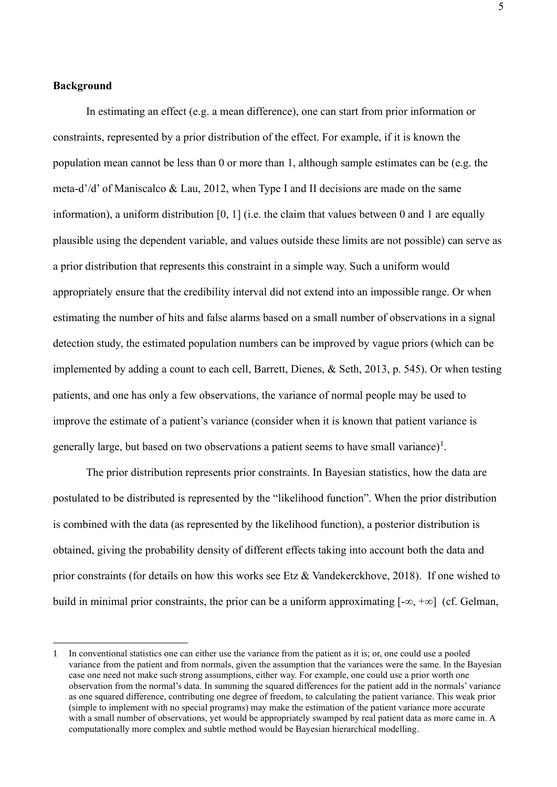# **Background**

In estimating an effect (e.g. a mean difference), one can start from prior information or constraints, represented by a prior distribution of the effect. For example, if it is known the population mean cannot be less than 0 or more than 1, although sample estimates can be (e.g. the meta-d'/d' of Maniscalco & Lau, 2012, when Type I and II decisions are made on the same information), a uniform distribution [0, 1] (i.e. the claim that values between 0 and 1 are equally plausible using the dependent variable, and values outside these limits are not possible) can serve as a prior distribution that represents this constraint in a simple way. Such a uniform would appropriately ensure that the credibility interval did not extend into an impossible range. Or when estimating the number of hits and false alarms based on a small number of observations in a signal detection study, the estimated population numbers can be improved by vague priors (which can be implemented by adding a count to each cell, Barrett, Dienes, & Seth, 2013, p. 545). Or when testing patients, and one has only a few observations, the variance of normal people may be used to improve the estimate of a patient's variance (consider when it is known that patient variance is generally large, but based on two observations a patient seems to have small variance)<sup>1</sup>.

The prior distribution represents prior constraints. In Bayesian statistics, how the data are postulated to be distributed is represented by the "likelihood function". When the prior distribution is combined with the data (as represented by the likelihood function), a posterior distribution is obtained, giving the probability density of different effects taking into account both the data and prior constraints (for details on how this works see Etz & Vandekerckhove, 2018). If one wished to build in minimal prior constraints, the prior can be a uniform approximating  $[-\infty, +\infty]$  (cf. Gelman,

<sup>1</sup> In conventional statistics one can either use the variance from the patient as it is; or, one could use a pooled variance from the patient and from normals, given the assumption that the variances were the same. In the Bayesian case one need not make such strong assumptions, either way. For example, one could use a prior worth one observation from the normal's data. In summing the squared differences for the patient add in the normals' variance as one squared difference, contributing one degree of freedom, to calculating the patient variance. This weak prior (simple to implement with no special programs) may make the estimation of the patient variance more accurate with a small number of observations, yet would be appropriately swamped by real patient data as more came in. A computationally more complex and subtle method would be Bayesian hierarchical modelling.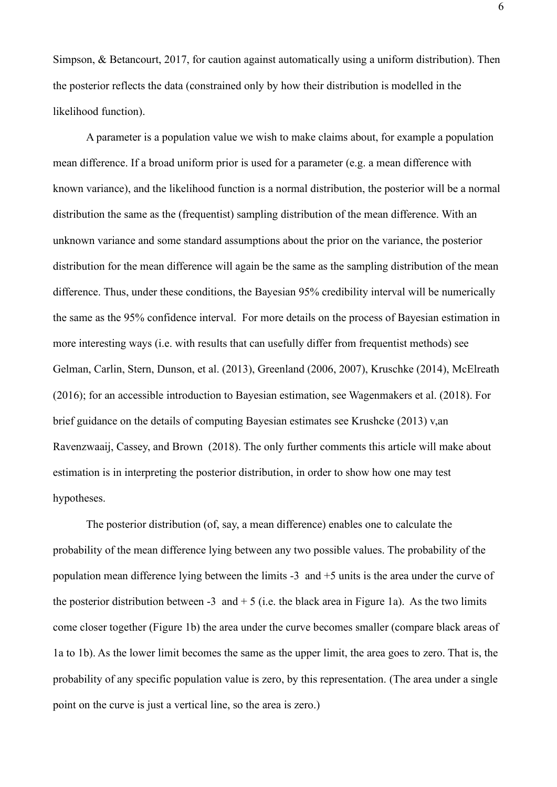Simpson, & Betancourt, 2017, for caution against automatically using a uniform distribution). Then the posterior reflects the data (constrained only by how their distribution is modelled in the likelihood function).

A parameter is a population value we wish to make claims about, for example a population mean difference. If a broad uniform prior is used for a parameter (e.g. a mean difference with known variance), and the likelihood function is a normal distribution, the posterior will be a normal distribution the same as the (frequentist) sampling distribution of the mean difference. With an unknown variance and some standard assumptions about the prior on the variance, the posterior distribution for the mean difference will again be the same as the sampling distribution of the mean difference. Thus, under these conditions, the Bayesian 95% credibility interval will be numerically the same as the 95% confidence interval. For more details on the process of Bayesian estimation in more interesting ways (i.e. with results that can usefully differ from frequentist methods) see Gelman, Carlin, Stern, Dunson, et al. (2013), Greenland (2006, 2007), Kruschke (2014), McElreath (2016); for an accessible introduction to Bayesian estimation, see Wagenmakers et al. (2018). For brief guidance on the details of computing Bayesian estimates see Krushcke (2013) v,an Ravenzwaaij, Cassey, and Brown (2018). The only further comments this article will make about estimation is in interpreting the posterior distribution, in order to show how one may test hypotheses.

The posterior distribution (of, say, a mean difference) enables one to calculate the probability of the mean difference lying between any two possible values. The probability of the population mean difference lying between the limits -3 and +5 units is the area under the curve of the posterior distribution between -3 and  $+ 5$  (i.e. the black area in Figure 1a). As the two limits come closer together (Figure 1b) the area under the curve becomes smaller (compare black areas of 1a to 1b). As the lower limit becomes the same as the upper limit, the area goes to zero. That is, the probability of any specific population value is zero, by this representation. (The area under a single point on the curve is just a vertical line, so the area is zero.)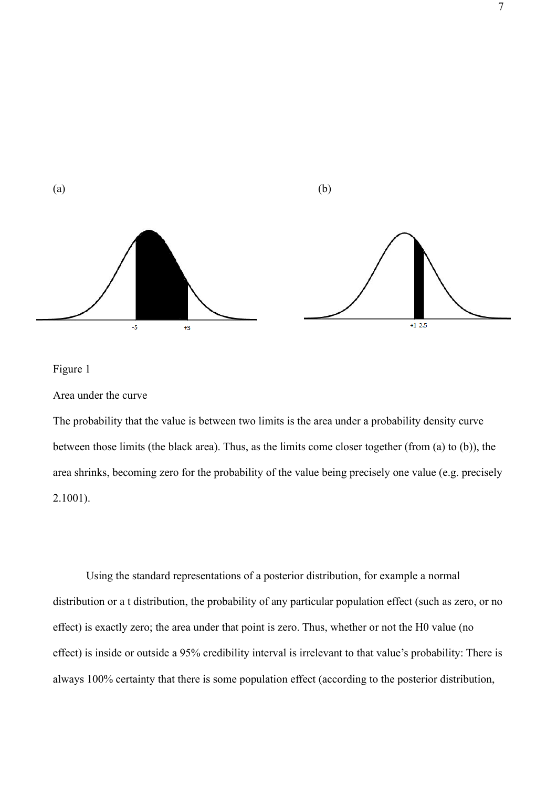

# Figure 1

Area under the curve

The probability that the value is between two limits is the area under a probability density curve between those limits (the black area). Thus, as the limits come closer together (from (a) to (b)), the area shrinks, becoming zero for the probability of the value being precisely one value (e.g. precisely 2.1001).

Using the standard representations of a posterior distribution, for example a normal distribution or a t distribution, the probability of any particular population effect (such as zero, or no effect) is exactly zero; the area under that point is zero. Thus, whether or not the H0 value (no effect) is inside or outside a 95% credibility interval is irrelevant to that value's probability: There is always 100% certainty that there is some population effect (according to the posterior distribution,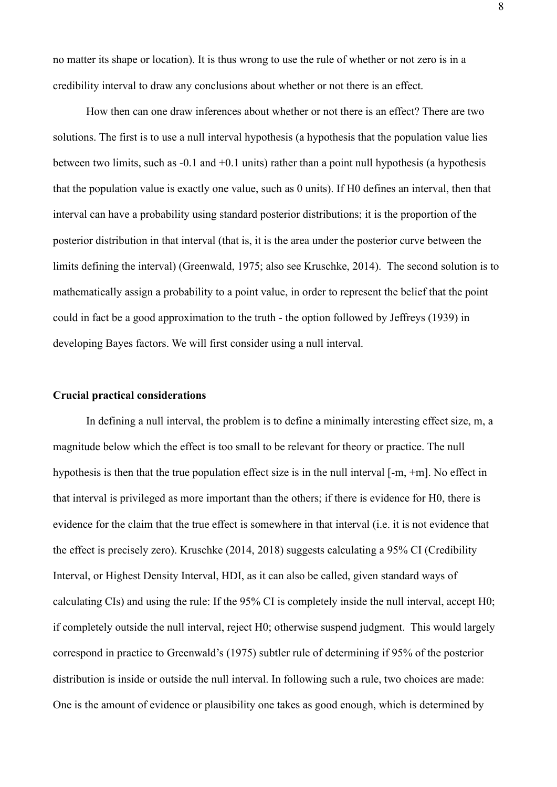no matter its shape or location). It is thus wrong to use the rule of whether or not zero is in a credibility interval to draw any conclusions about whether or not there is an effect.

How then can one draw inferences about whether or not there is an effect? There are two solutions. The first is to use a null interval hypothesis (a hypothesis that the population value lies between two limits, such as -0.1 and +0.1 units) rather than a point null hypothesis (a hypothesis that the population value is exactly one value, such as 0 units). If H0 defines an interval, then that interval can have a probability using standard posterior distributions; it is the proportion of the posterior distribution in that interval (that is, it is the area under the posterior curve between the limits defining the interval) (Greenwald, 1975; also see Kruschke, 2014). The second solution is to mathematically assign a probability to a point value, in order to represent the belief that the point could in fact be a good approximation to the truth - the option followed by Jeffreys (1939) in developing Bayes factors. We will first consider using a null interval.

# **Crucial practical considerations**

In defining a null interval, the problem is to define a minimally interesting effect size, m, a magnitude below which the effect is too small to be relevant for theory or practice. The null hypothesis is then that the true population effect size is in the null interval [-m, +m]. No effect in that interval is privileged as more important than the others; if there is evidence for H0, there is evidence for the claim that the true effect is somewhere in that interval (i.e. it is not evidence that the effect is precisely zero). Kruschke (2014, 2018) suggests calculating a 95% CI (Credibility Interval, or Highest Density Interval, HDI, as it can also be called, given standard ways of calculating CIs) and using the rule: If the 95% CI is completely inside the null interval, accept H0; if completely outside the null interval, reject H0; otherwise suspend judgment. This would largely correspond in practice to Greenwald's (1975) subtler rule of determining if 95% of the posterior distribution is inside or outside the null interval. In following such a rule, two choices are made: One is the amount of evidence or plausibility one takes as good enough, which is determined by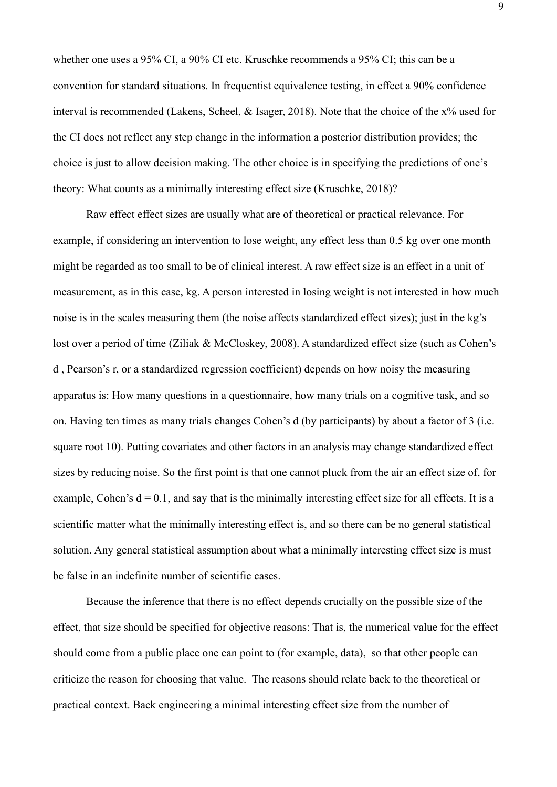whether one uses a 95% CI, a 90% CI etc. Kruschke recommends a 95% CI; this can be a convention for standard situations. In frequentist equivalence testing, in effect a 90% confidence interval is recommended (Lakens, Scheel, & Isager, 2018). Note that the choice of the x% used for the CI does not reflect any step change in the information a posterior distribution provides; the choice is just to allow decision making. The other choice is in specifying the predictions of one's theory: What counts as a minimally interesting effect size (Kruschke, 2018)?

Raw effect effect sizes are usually what are of theoretical or practical relevance. For example, if considering an intervention to lose weight, any effect less than 0.5 kg over one month might be regarded as too small to be of clinical interest. A raw effect size is an effect in a unit of measurement, as in this case, kg. A person interested in losing weight is not interested in how much noise is in the scales measuring them (the noise affects standardized effect sizes); just in the kg's lost over a period of time (Ziliak & McCloskey, 2008). A standardized effect size (such as Cohen's d , Pearson's r, or a standardized regression coefficient) depends on how noisy the measuring apparatus is: How many questions in a questionnaire, how many trials on a cognitive task, and so on. Having ten times as many trials changes Cohen's d (by participants) by about a factor of 3 (i.e. square root 10). Putting covariates and other factors in an analysis may change standardized effect sizes by reducing noise. So the first point is that one cannot pluck from the air an effect size of, for example, Cohen's  $d = 0.1$ , and say that is the minimally interesting effect size for all effects. It is a scientific matter what the minimally interesting effect is, and so there can be no general statistical solution. Any general statistical assumption about what a minimally interesting effect size is must be false in an indefinite number of scientific cases.

Because the inference that there is no effect depends crucially on the possible size of the effect, that size should be specified for objective reasons: That is, the numerical value for the effect should come from a public place one can point to (for example, data), so that other people can criticize the reason for choosing that value. The reasons should relate back to the theoretical or practical context. Back engineering a minimal interesting effect size from the number of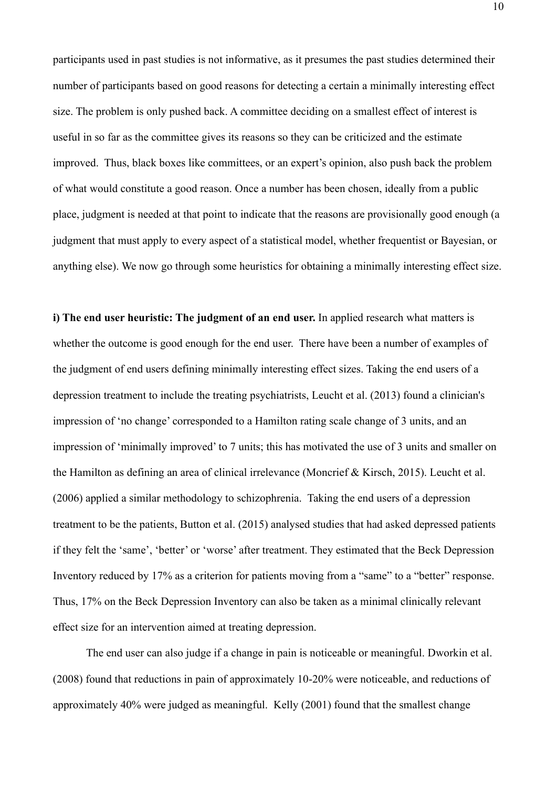participants used in past studies is not informative, as it presumes the past studies determined their number of participants based on good reasons for detecting a certain a minimally interesting effect size. The problem is only pushed back. A committee deciding on a smallest effect of interest is useful in so far as the committee gives its reasons so they can be criticized and the estimate improved. Thus, black boxes like committees, or an expert's opinion, also push back the problem of what would constitute a good reason. Once a number has been chosen, ideally from a public place, judgment is needed at that point to indicate that the reasons are provisionally good enough (a judgment that must apply to every aspect of a statistical model, whether frequentist or Bayesian, or anything else). We now go through some heuristics for obtaining a minimally interesting effect size.

**i) The end user heuristic: The judgment of an end user.** In applied research what matters is whether the outcome is good enough for the end user. There have been a number of examples of the judgment of end users defining minimally interesting effect sizes. Taking the end users of a depression treatment to include the treating psychiatrists, Leucht et al. (2013) found a clinician's impression of 'no change' corresponded to a Hamilton rating scale change of 3 units, and an impression of 'minimally improved' to 7 units; this has motivated the use of 3 units and smaller on the Hamilton as defining an area of clinical irrelevance (Moncrief & Kirsch, 2015). Leucht et al. (2006) applied a similar methodology to schizophrenia. Taking the end users of a depression treatment to be the patients, Button et al. (2015) analysed studies that had asked depressed patients if they felt the 'same', 'better' or 'worse' after treatment. They estimated that the Beck Depression Inventory reduced by 17% as a criterion for patients moving from a "same" to a "better" response. Thus, 17% on the Beck Depression Inventory can also be taken as a minimal clinically relevant effect size for an intervention aimed at treating depression.

The end user can also judge if a change in pain is noticeable or meaningful. Dworkin et al. (2008) found that reductions in pain of approximately 10-20% were noticeable, and reductions of approximately 40% were judged as meaningful. Kelly (2001) found that the smallest change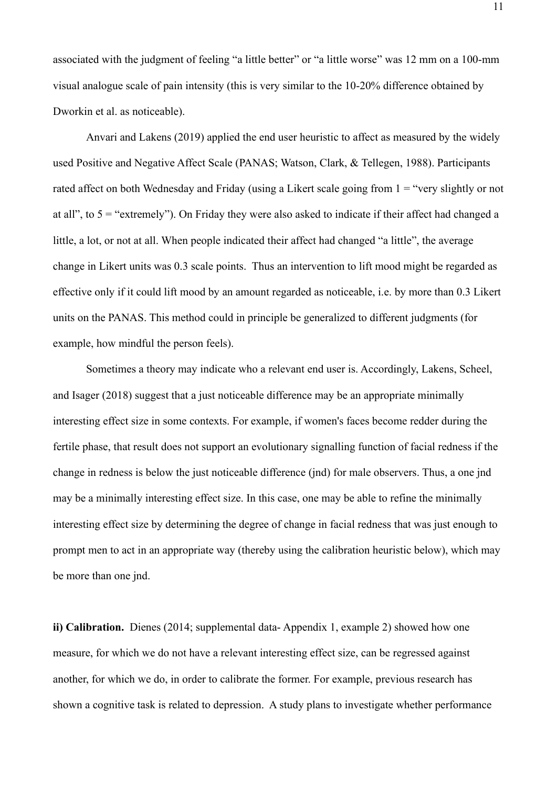associated with the judgment of feeling "a little better" or "a little worse" was 12 mm on a 100-mm visual analogue scale of pain intensity (this is very similar to the 10-20% difference obtained by Dworkin et al. as noticeable).

Anvari and Lakens (2019) applied the end user heuristic to affect as measured by the widely used Positive and Negative Affect Scale (PANAS; Watson, Clark, & Tellegen, 1988). Participants rated affect on both Wednesday and Friday (using a Likert scale going from  $1 =$  "very slightly or not at all", to 5 = "extremely"). On Friday they were also asked to indicate if their affect had changed a little, a lot, or not at all. When people indicated their affect had changed "a little", the average change in Likert units was 0.3 scale points. Thus an intervention to lift mood might be regarded as effective only if it could lift mood by an amount regarded as noticeable, i.e. by more than 0.3 Likert units on the PANAS. This method could in principle be generalized to different judgments (for example, how mindful the person feels).

Sometimes a theory may indicate who a relevant end user is. Accordingly, Lakens, Scheel, and Isager (2018) suggest that a just noticeable difference may be an appropriate minimally interesting effect size in some contexts. For example, if women's faces become redder during the fertile phase, that result does not support an evolutionary signalling function of facial redness if the change in redness is below the just noticeable difference (jnd) for male observers. Thus, a one jnd may be a minimally interesting effect size. In this case, one may be able to refine the minimally interesting effect size by determining the degree of change in facial redness that was just enough to prompt men to act in an appropriate way (thereby using the calibration heuristic below), which may be more than one jnd.

**ii) Calibration.** Dienes (2014; supplemental data- Appendix 1, example 2) showed how one measure, for which we do not have a relevant interesting effect size, can be regressed against another, for which we do, in order to calibrate the former. For example, previous research has shown a cognitive task is related to depression. A study plans to investigate whether performance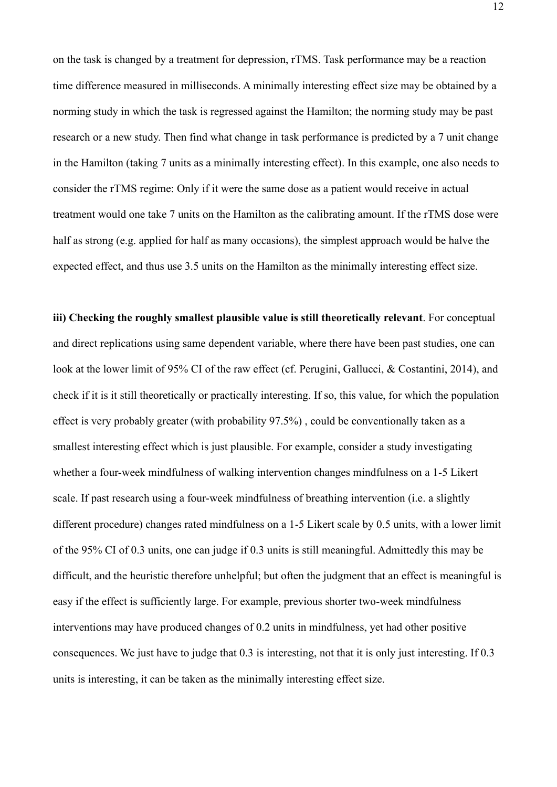on the task is changed by a treatment for depression, rTMS. Task performance may be a reaction time difference measured in milliseconds. A minimally interesting effect size may be obtained by a norming study in which the task is regressed against the Hamilton; the norming study may be past research or a new study. Then find what change in task performance is predicted by a 7 unit change in the Hamilton (taking 7 units as a minimally interesting effect). In this example, one also needs to consider the rTMS regime: Only if it were the same dose as a patient would receive in actual treatment would one take 7 units on the Hamilton as the calibrating amount. If the rTMS dose were half as strong (e.g. applied for half as many occasions), the simplest approach would be halve the expected effect, and thus use 3.5 units on the Hamilton as the minimally interesting effect size.

**iii) Checking the roughly smallest plausible value is still theoretically relevant**. For conceptual and direct replications using same dependent variable, where there have been past studies, one can look at the lower limit of 95% CI of the raw effect (cf. Perugini, Gallucci, & Costantini, 2014), and check if it is it still theoretically or practically interesting. If so, this value, for which the population effect is very probably greater (with probability 97.5%) , could be conventionally taken as a smallest interesting effect which is just plausible. For example, consider a study investigating whether a four-week mindfulness of walking intervention changes mindfulness on a 1-5 Likert scale. If past research using a four-week mindfulness of breathing intervention (i.e. a slightly different procedure) changes rated mindfulness on a 1-5 Likert scale by 0.5 units, with a lower limit of the 95% CI of 0.3 units, one can judge if 0.3 units is still meaningful. Admittedly this may be difficult, and the heuristic therefore unhelpful; but often the judgment that an effect is meaningful is easy if the effect is sufficiently large. For example, previous shorter two-week mindfulness interventions may have produced changes of 0.2 units in mindfulness, yet had other positive consequences. We just have to judge that 0.3 is interesting, not that it is only just interesting. If 0.3 units is interesting, it can be taken as the minimally interesting effect size.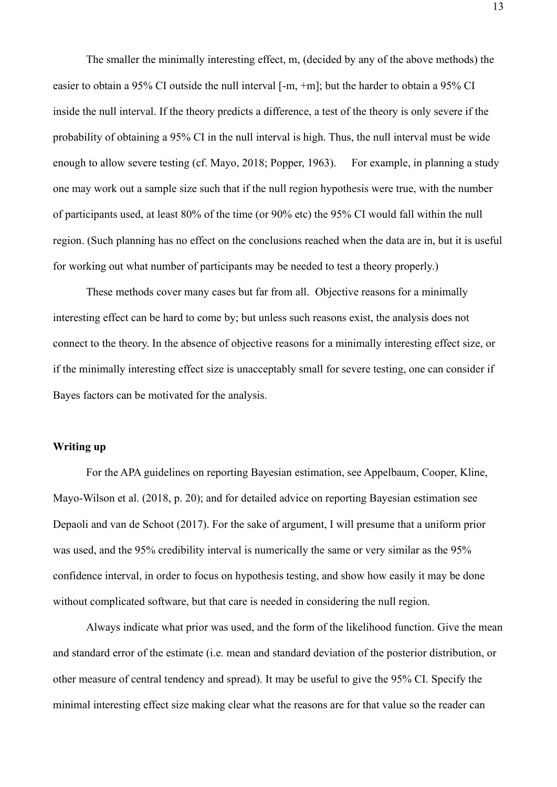The smaller the minimally interesting effect, m, (decided by any of the above methods) the easier to obtain a 95% CI outside the null interval [-m, +m]; but the harder to obtain a 95% CI inside the null interval. If the theory predicts a difference, a test of the theory is only severe if the probability of obtaining a 95% CI in the null interval is high. Thus, the null interval must be wide enough to allow severe testing (cf. Mayo, 2018; Popper, 1963). For example, in planning a study one may work out a sample size such that if the null region hypothesis were true, with the number of participants used, at least 80% of the time (or 90% etc) the 95% CI would fall within the null region. (Such planning has no effect on the conclusions reached when the data are in, but it is useful for working out what number of participants may be needed to test a theory properly.)

These methods cover many cases but far from all. Objective reasons for a minimally interesting effect can be hard to come by; but unless such reasons exist, the analysis does not connect to the theory. In the absence of objective reasons for a minimally interesting effect size, or if the minimally interesting effect size is unacceptably small for severe testing, one can consider if Bayes factors can be motivated for the analysis.

# **Writing up**

For the APA guidelines on reporting Bayesian estimation, see Appelbaum, Cooper, Kline, Mayo-Wilson et al. (2018, p. 20); and for detailed advice on reporting Bayesian estimation see Depaoli and van de Schoot (2017). For the sake of argument, I will presume that a uniform prior was used, and the 95% credibility interval is numerically the same or very similar as the 95% confidence interval, in order to focus on hypothesis testing, and show how easily it may be done without complicated software, but that care is needed in considering the null region.

Always indicate what prior was used, and the form of the likelihood function. Give the mean and standard error of the estimate (i.e. mean and standard deviation of the posterior distribution, or other measure of central tendency and spread). It may be useful to give the 95% CI. Specify the minimal interesting effect size making clear what the reasons are for that value so the reader can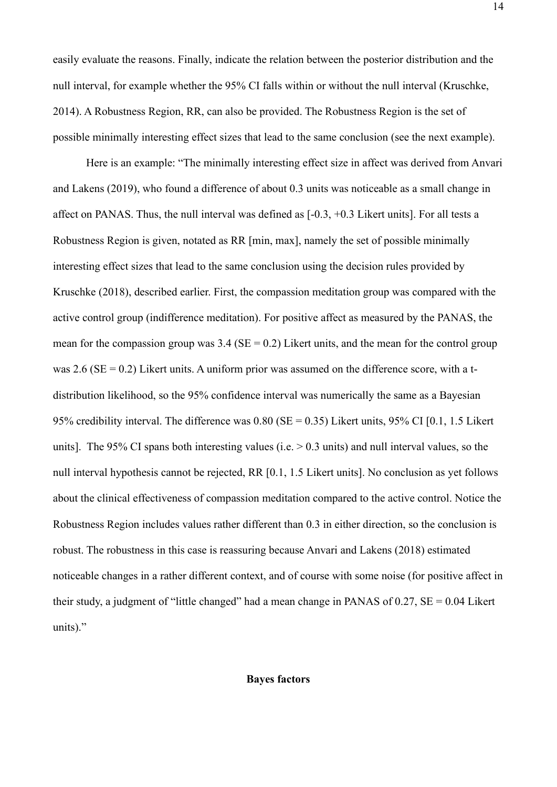easily evaluate the reasons. Finally, indicate the relation between the posterior distribution and the null interval, for example whether the 95% CI falls within or without the null interval (Kruschke, 2014). A Robustness Region, RR, can also be provided. The Robustness Region is the set of possible minimally interesting effect sizes that lead to the same conclusion (see the next example).

Here is an example: "The minimally interesting effect size in affect was derived from Anvari and Lakens (2019), who found a difference of about 0.3 units was noticeable as a small change in affect on PANAS. Thus, the null interval was defined as [-0.3, +0.3 Likert units]. For all tests a Robustness Region is given, notated as RR [min, max], namely the set of possible minimally interesting effect sizes that lead to the same conclusion using the decision rules provided by Kruschke (2018), described earlier. First, the compassion meditation group was compared with the active control group (indifference meditation). For positive affect as measured by the PANAS, the mean for the compassion group was  $3.4$  (SE = 0.2) Likert units, and the mean for the control group was  $2.6$  (SE = 0.2) Likert units. A uniform prior was assumed on the difference score, with a tdistribution likelihood, so the 95% confidence interval was numerically the same as a Bayesian 95% credibility interval. The difference was  $0.80$  (SE = 0.35) Likert units, 95% CI [0.1, 1.5 Likert units]. The 95% CI spans both interesting values (i.e.  $> 0.3$  units) and null interval values, so the null interval hypothesis cannot be rejected, RR [0.1, 1.5 Likert units]. No conclusion as yet follows about the clinical effectiveness of compassion meditation compared to the active control. Notice the Robustness Region includes values rather different than 0.3 in either direction, so the conclusion is robust. The robustness in this case is reassuring because Anvari and Lakens (2018) estimated noticeable changes in a rather different context, and of course with some noise (for positive affect in their study, a judgment of "little changed" had a mean change in PANAS of  $0.27$ ,  $SE = 0.04$  Likert units)."

#### **Bayes factors**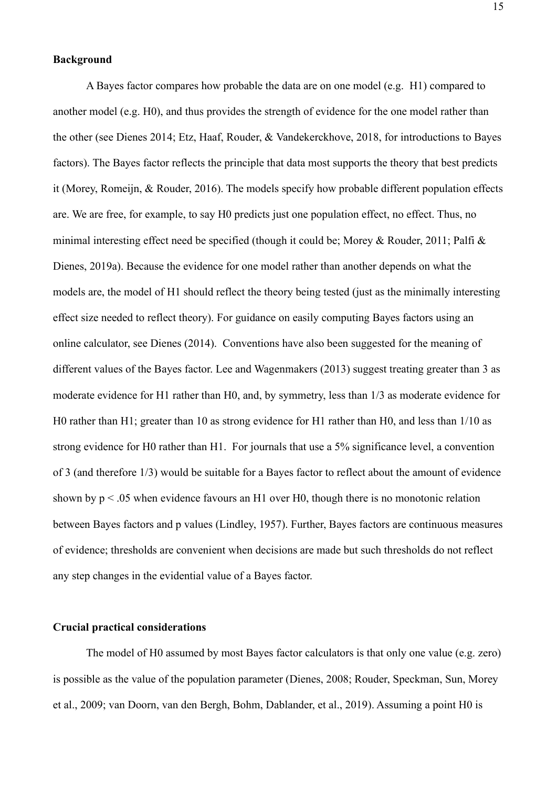# **Background**

A Bayes factor compares how probable the data are on one model (e.g. H1) compared to another model (e.g. H0), and thus provides the strength of evidence for the one model rather than the other (see Dienes 2014; Etz, Haaf, Rouder, & Vandekerckhove, 2018, for introductions to Bayes factors). The Bayes factor reflects the principle that data most supports the theory that best predicts it (Morey, Romeijn, & Rouder, 2016). The models specify how probable different population effects are. We are free, for example, to say H0 predicts just one population effect, no effect. Thus, no minimal interesting effect need be specified (though it could be; Morey & Rouder, 2011; Palfi & Dienes, 2019a). Because the evidence for one model rather than another depends on what the models are, the model of H1 should reflect the theory being tested (just as the minimally interesting effect size needed to reflect theory). For guidance on easily computing Bayes factors using an online calculator, see Dienes (2014). Conventions have also been suggested for the meaning of different values of the Bayes factor. Lee and Wagenmakers (2013) suggest treating greater than 3 as moderate evidence for H1 rather than H0, and, by symmetry, less than 1/3 as moderate evidence for H0 rather than H1; greater than 10 as strong evidence for H1 rather than H0, and less than 1/10 as strong evidence for H0 rather than H1. For journals that use a 5% significance level, a convention of 3 (and therefore 1/3) would be suitable for a Bayes factor to reflect about the amount of evidence shown by  $p < 0.05$  when evidence favours an H1 over H0, though there is no monotonic relation between Bayes factors and p values (Lindley, 1957). Further, Bayes factors are continuous measures of evidence; thresholds are convenient when decisions are made but such thresholds do not reflect any step changes in the evidential value of a Bayes factor.

# **Crucial practical considerations**

The model of H0 assumed by most Bayes factor calculators is that only one value (e.g. zero) is possible as the value of the population parameter (Dienes, 2008; Rouder, Speckman, Sun, Morey et al., 2009; van Doorn, van den Bergh, Bohm, Dablander, et al., 2019). Assuming a point H0 is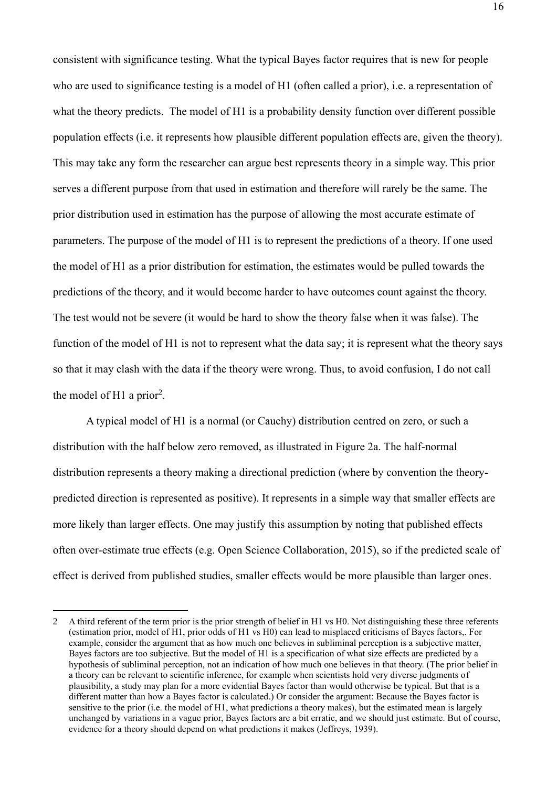consistent with significance testing. What the typical Bayes factor requires that is new for people who are used to significance testing is a model of H1 (often called a prior), i.e. a representation of what the theory predicts. The model of H1 is a probability density function over different possible population effects (i.e. it represents how plausible different population effects are, given the theory). This may take any form the researcher can argue best represents theory in a simple way. This prior serves a different purpose from that used in estimation and therefore will rarely be the same. The prior distribution used in estimation has the purpose of allowing the most accurate estimate of parameters. The purpose of the model of H1 is to represent the predictions of a theory. If one used the model of H1 as a prior distribution for estimation, the estimates would be pulled towards the predictions of the theory, and it would become harder to have outcomes count against the theory. The test would not be severe (it would be hard to show the theory false when it was false). The function of the model of H1 is not to represent what the data say; it is represent what the theory says so that it may clash with the data if the theory were wrong. Thus, to avoid confusion, I do not call the model of H1 a prior<sup>2</sup>.

A typical model of H1 is a normal (or Cauchy) distribution centred on zero, or such a distribution with the half below zero removed, as illustrated in Figure 2a. The half-normal distribution represents a theory making a directional prediction (where by convention the theorypredicted direction is represented as positive). It represents in a simple way that smaller effects are more likely than larger effects. One may justify this assumption by noting that published effects often over-estimate true effects (e.g. Open Science Collaboration, 2015), so if the predicted scale of effect is derived from published studies, smaller effects would be more plausible than larger ones.

<sup>2</sup> A third referent of the term prior is the prior strength of belief in H1 vs H0. Not distinguishing these three referents (estimation prior, model of H1, prior odds of H1 vs H0) can lead to misplaced criticisms of Bayes factors,. For example, consider the argument that as how much one believes in subliminal perception is a subjective matter, Bayes factors are too subjective. But the model of H1 is a specification of what size effects are predicted by a hypothesis of subliminal perception, not an indication of how much one believes in that theory. (The prior belief in a theory can be relevant to scientific inference, for example when scientists hold very diverse judgments of plausibility, a study may plan for a more evidential Bayes factor than would otherwise be typical. But that is a different matter than how a Bayes factor is calculated.) Or consider the argument: Because the Bayes factor is sensitive to the prior (i.e. the model of H1, what predictions a theory makes), but the estimated mean is largely unchanged by variations in a vague prior, Bayes factors are a bit erratic, and we should just estimate. But of course, evidence for a theory should depend on what predictions it makes (Jeffreys, 1939).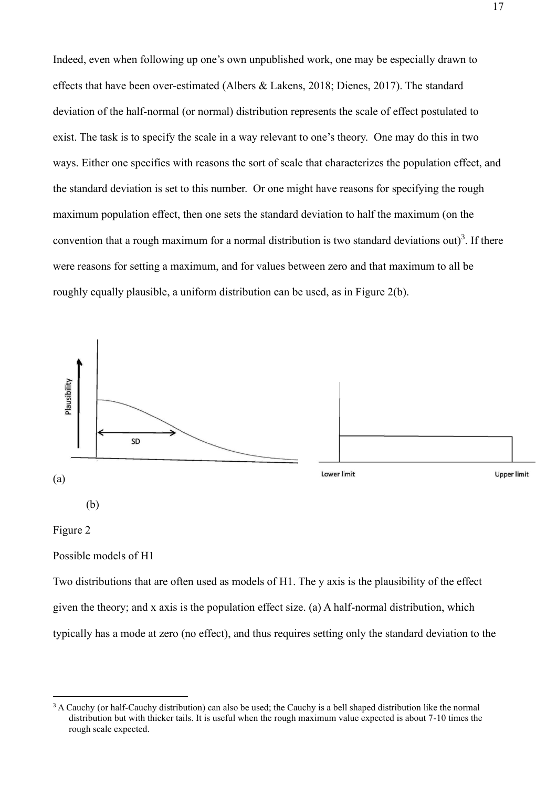Indeed, even when following up one's own unpublished work, one may be especially drawn to effects that have been over-estimated (Albers & Lakens, 2018; Dienes, 2017). The standard deviation of the half-normal (or normal) distribution represents the scale of effect postulated to exist. The task is to specify the scale in a way relevant to one's theory. One may do this in two ways. Either one specifies with reasons the sort of scale that characterizes the population effect, and the standard deviation is set to this number. Or one might have reasons for specifying the rough maximum population effect, then one sets the standard deviation to half the maximum (on the convention that a rough maximum for a normal distribution is two standard deviations out)<sup>3</sup>. If there were reasons for setting a maximum, and for values between zero and that maximum to all be roughly equally plausible, a uniform distribution can be used, as in Figure 2(b).



Possible models of H1

Two distributions that are often used as models of H1. The y axis is the plausibility of the effect given the theory; and x axis is the population effect size. (a) A half-normal distribution, which typically has a mode at zero (no effect), and thus requires setting only the standard deviation to the

<sup>&</sup>lt;sup>3</sup> A Cauchy (or half-Cauchy distribution) can also be used; the Cauchy is a bell shaped distribution like the normal distribution but with thicker tails. It is useful when the rough maximum value expected is about 7-10 times the rough scale expected.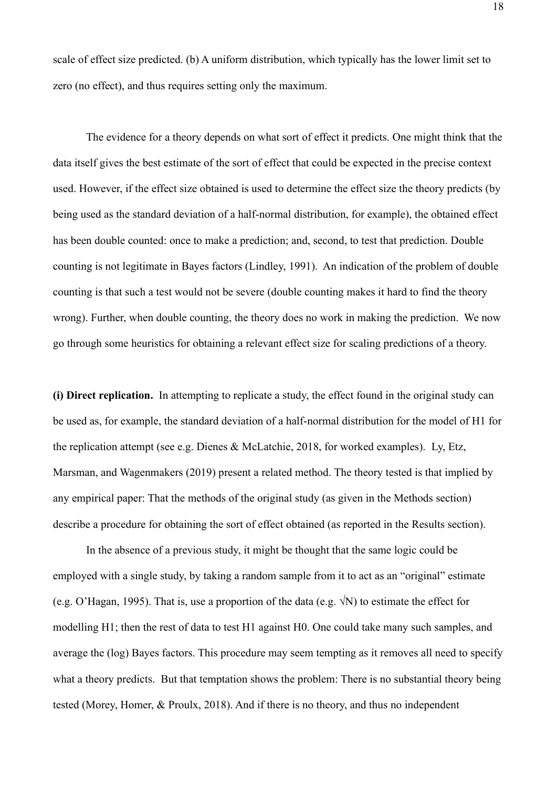scale of effect size predicted. (b) A uniform distribution, which typically has the lower limit set to zero (no effect), and thus requires setting only the maximum.

The evidence for a theory depends on what sort of effect it predicts. One might think that the data itself gives the best estimate of the sort of effect that could be expected in the precise context used. However, if the effect size obtained is used to determine the effect size the theory predicts (by being used as the standard deviation of a half-normal distribution, for example), the obtained effect has been double counted: once to make a prediction; and, second, to test that prediction. Double counting is not legitimate in Bayes factors (Lindley, 1991). An indication of the problem of double counting is that such a test would not be severe (double counting makes it hard to find the theory wrong). Further, when double counting, the theory does no work in making the prediction. We now go through some heuristics for obtaining a relevant effect size for scaling predictions of a theory.

**(i) Direct replication.** In attempting to replicate a study, the effect found in the original study can be used as, for example, the standard deviation of a half-normal distribution for the model of H1 for the replication attempt (see e.g. Dienes & McLatchie, 2018, for worked examples). Ly, Etz, Marsman, and Wagenmakers (2019) present a related method. The theory tested is that implied by any empirical paper: That the methods of the original study (as given in the Methods section) describe a procedure for obtaining the sort of effect obtained (as reported in the Results section).

In the absence of a previous study, it might be thought that the same logic could be employed with a single study, by taking a random sample from it to act as an "original" estimate (e.g. O'Hagan, 1995). That is, use a proportion of the data (e.g.  $\sqrt{N}$ ) to estimate the effect for modelling H1; then the rest of data to test H1 against H0. One could take many such samples, and average the (log) Bayes factors. This procedure may seem tempting as it removes all need to specify what a theory predicts. But that temptation shows the problem: There is no substantial theory being tested (Morey, Homer, & Proulx, 2018). And if there is no theory, and thus no independent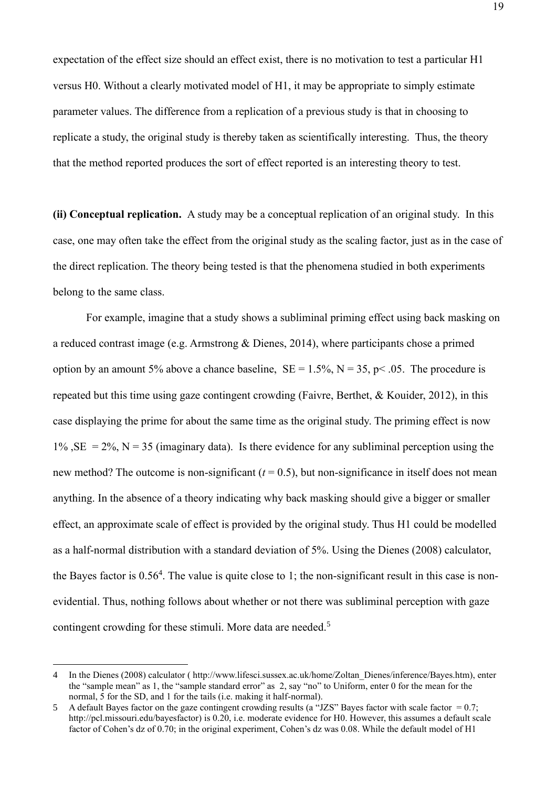expectation of the effect size should an effect exist, there is no motivation to test a particular H1 versus H0. Without a clearly motivated model of H1, it may be appropriate to simply estimate parameter values. The difference from a replication of a previous study is that in choosing to replicate a study, the original study is thereby taken as scientifically interesting. Thus, the theory that the method reported produces the sort of effect reported is an interesting theory to test.

**(ii) Conceptual replication.** A study may be a conceptual replication of an original study. In this case, one may often take the effect from the original study as the scaling factor, just as in the case of the direct replication. The theory being tested is that the phenomena studied in both experiments belong to the same class.

For example, imagine that a study shows a subliminal priming effect using back masking on a reduced contrast image (e.g. Armstrong & Dienes, 2014), where participants chose a primed option by an amount 5% above a chance baseline,  $SE = 1.5\%$ ,  $N = 35$ ,  $p < .05$ . The procedure is repeated but this time using gaze contingent crowding (Faivre, Berthet, & Kouider, 2012), in this case displaying the prime for about the same time as the original study. The priming effect is now  $1\%$ ,  $SE = 2\%, N = 35$  (imaginary data). Is there evidence for any subliminal perception using the new method? The outcome is non-significant  $(t = 0.5)$ , but non-significance in itself does not mean anything. In the absence of a theory indicating why back masking should give a bigger or smaller effect, an approximate scale of effect is provided by the original study. Thus H1 could be modelled as a half-normal distribution with a standard deviation of 5%. Using the Dienes (2008) calculator, the Bayes factor is  $0.56<sup>4</sup>$ . The value is quite close to 1; the non-significant result in this case is nonevidential. Thus, nothing follows about whether or not there was subliminal perception with gaze contingent crowding for these stimuli. More data are needed.<sup>5</sup>

<sup>4</sup> In the Dienes (2008) calculator ( http://www.lifesci.sussex.ac.uk/home/Zoltan\_Dienes/inference/Bayes.htm), enter the "sample mean" as 1, the "sample standard error" as 2, say "no" to Uniform, enter 0 for the mean for the normal, 5 for the SD, and 1 for the tails (i.e. making it half-normal).

<sup>5</sup> A default Bayes factor on the gaze contingent crowding results (a "JZS" Bayes factor with scale factor =  $0.7$ ; http://pcl.missouri.edu/bayesfactor) is 0.20, i.e. moderate evidence for H0. However, this assumes a default scale factor of Cohen's dz of 0.70; in the original experiment, Cohen's dz was 0.08. While the default model of H1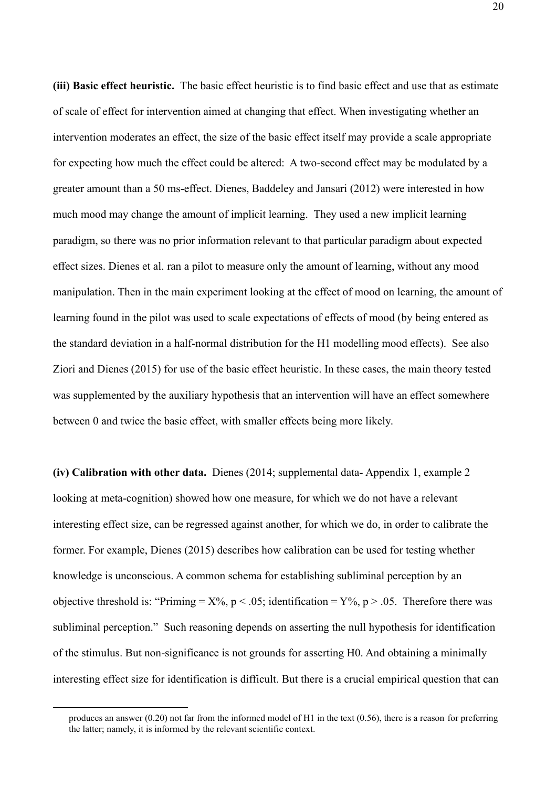**(iii) Basic effect heuristic.** The basic effect heuristic is to find basic effect and use that as estimate of scale of effect for intervention aimed at changing that effect. When investigating whether an intervention moderates an effect, the size of the basic effect itself may provide a scale appropriate for expecting how much the effect could be altered: A two-second effect may be modulated by a greater amount than a 50 ms-effect. Dienes, Baddeley and Jansari (2012) were interested in how much mood may change the amount of implicit learning. They used a new implicit learning paradigm, so there was no prior information relevant to that particular paradigm about expected effect sizes. Dienes et al. ran a pilot to measure only the amount of learning, without any mood manipulation. Then in the main experiment looking at the effect of mood on learning, the amount of learning found in the pilot was used to scale expectations of effects of mood (by being entered as the standard deviation in a half-normal distribution for the H1 modelling mood effects). See also Ziori and Dienes (2015) for use of the basic effect heuristic. In these cases, the main theory tested was supplemented by the auxiliary hypothesis that an intervention will have an effect somewhere between 0 and twice the basic effect, with smaller effects being more likely.

**(iv) Calibration with other data.** Dienes (2014; supplemental data- Appendix 1, example 2 looking at meta-cognition) showed how one measure, for which we do not have a relevant interesting effect size, can be regressed against another, for which we do, in order to calibrate the former. For example, Dienes (2015) describes how calibration can be used for testing whether knowledge is unconscious. A common schema for establishing subliminal perception by an objective threshold is: "Priming =  $X\%$ , p < .05; identification =  $Y\%$ , p > .05. Therefore there was subliminal perception." Such reasoning depends on asserting the null hypothesis for identification of the stimulus. But non-significance is not grounds for asserting H0. And obtaining a minimally interesting effect size for identification is difficult. But there is a crucial empirical question that can

produces an answer (0.20) not far from the informed model of H1 in the text (0.56), there is a reason for preferring the latter; namely, it is informed by the relevant scientific context.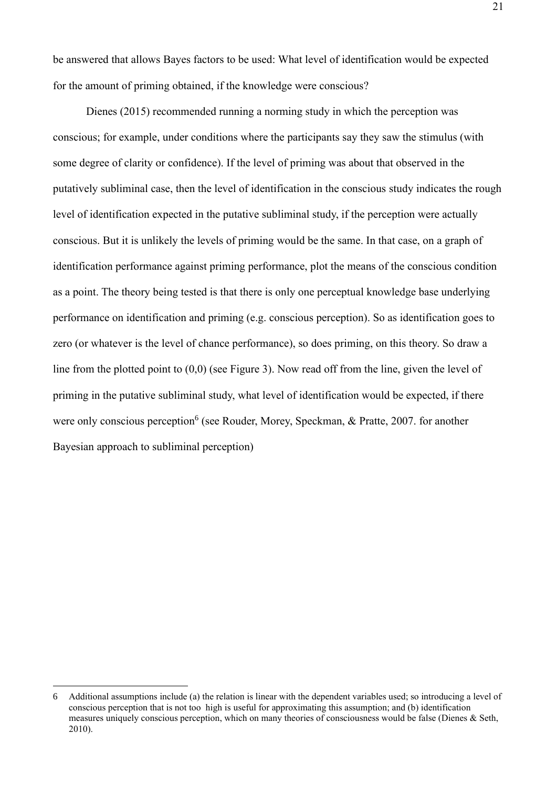be answered that allows Bayes factors to be used: What level of identification would be expected for the amount of priming obtained, if the knowledge were conscious?

Dienes (2015) recommended running a norming study in which the perception was conscious; for example, under conditions where the participants say they saw the stimulus (with some degree of clarity or confidence). If the level of priming was about that observed in the putatively subliminal case, then the level of identification in the conscious study indicates the rough level of identification expected in the putative subliminal study, if the perception were actually conscious. But it is unlikely the levels of priming would be the same. In that case, on a graph of identification performance against priming performance, plot the means of the conscious condition as a point. The theory being tested is that there is only one perceptual knowledge base underlying performance on identification and priming (e.g. conscious perception). So as identification goes to zero (or whatever is the level of chance performance), so does priming, on this theory. So draw a line from the plotted point to (0,0) (see Figure 3). Now read off from the line, given the level of priming in the putative subliminal study, what level of identification would be expected, if there were only conscious perception<sup>6</sup> (see Rouder, Morey, Speckman, & Pratte, 2007. for another Bayesian approach to subliminal perception)

<sup>6</sup> Additional assumptions include (a) the relation is linear with the dependent variables used; so introducing a level of conscious perception that is not too high is useful for approximating this assumption; and (b) identification measures uniquely conscious perception, which on many theories of consciousness would be false (Dienes & Seth, 2010).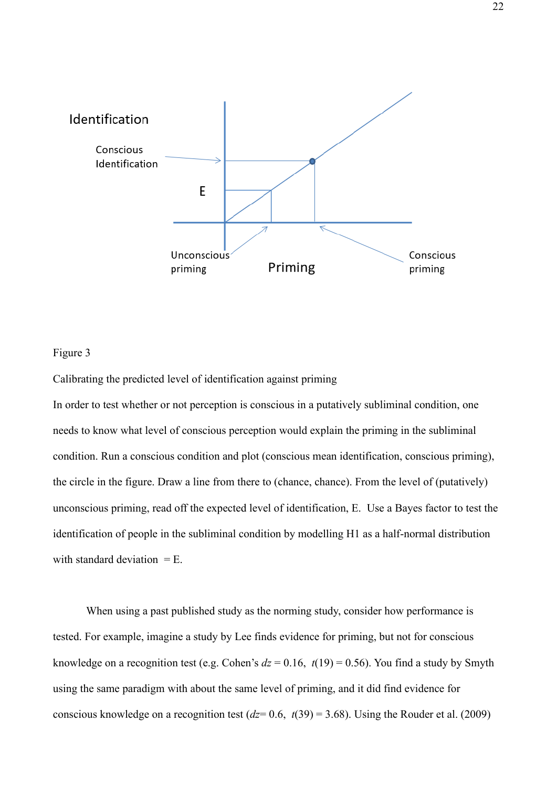

# Figure 3

Calibrating the predicted level of identification against priming

In order to test whether or not perception is conscious in a putatively subliminal condition, one needs to know what level of conscious perception would explain the priming in the subliminal condition. Run a conscious condition and plot (conscious mean identification, conscious priming), the circle in the figure. Draw a line from there to (chance, chance). From the level of (putatively) unconscious priming, read off the expected level of identification, E. Use a Bayes factor to test the identification of people in the subliminal condition by modelling H1 as a half-normal distribution with standard deviation = E.

When using a past published study as the norming study, consider how performance is tested. For example, imagine a study by Lee finds evidence for priming, but not for conscious knowledge on a recognition test (e.g. Cohen's  $dz = 0.16$ ,  $t(19) = 0.56$ ). You find a study by Smyth using the same paradigm with about the same level of priming, and it did find evidence for conscious knowledge on a recognition test (*dz*= 0.6, *t*(39) = 3.68). Using the Rouder et al. (2009)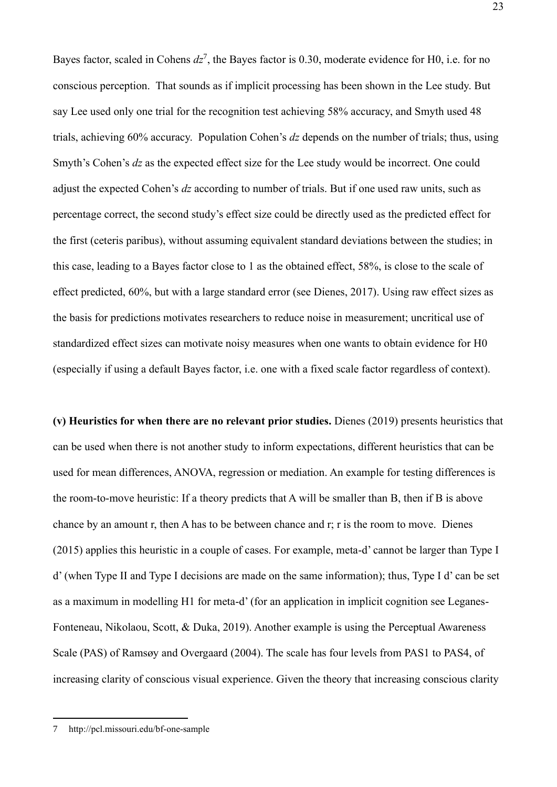Bayes factor, scaled in Cohens  $dz^7$ , the Bayes factor is 0.30, moderate evidence for H0, i.e. for no conscious perception. That sounds as if implicit processing has been shown in the Lee study. But say Lee used only one trial for the recognition test achieving 58% accuracy, and Smyth used 48 trials, achieving 60% accuracy. Population Cohen's *dz* depends on the number of trials; thus, using Smyth's Cohen's *dz* as the expected effect size for the Lee study would be incorrect. One could adjust the expected Cohen's *dz* according to number of trials. But if one used raw units, such as percentage correct, the second study's effect size could be directly used as the predicted effect for the first (ceteris paribus), without assuming equivalent standard deviations between the studies; in this case, leading to a Bayes factor close to 1 as the obtained effect, 58%, is close to the scale of effect predicted, 60%, but with a large standard error (see Dienes, 2017). Using raw effect sizes as the basis for predictions motivates researchers to reduce noise in measurement; uncritical use of standardized effect sizes can motivate noisy measures when one wants to obtain evidence for H0 (especially if using a default Bayes factor, i.e. one with a fixed scale factor regardless of context).

**(v) Heuristics for when there are no relevant prior studies.** Dienes (2019) presents heuristics that can be used when there is not another study to inform expectations, different heuristics that can be used for mean differences, ANOVA, regression or mediation. An example for testing differences is the room-to-move heuristic: If a theory predicts that A will be smaller than B, then if B is above chance by an amount r, then A has to be between chance and r; r is the room to move. Dienes (2015) applies this heuristic in a couple of cases. For example, meta-d' cannot be larger than Type I d' (when Type II and Type I decisions are made on the same information); thus, Type I d' can be set as a maximum in modelling H1 for meta-d' (for an application in implicit cognition see Leganes-Fonteneau, Nikolaou, Scott, & Duka, 2019). Another example is using the Perceptual Awareness Scale (PAS) of Ramsøy and Overgaard (2004). The scale has four levels from PAS1 to PAS4, of increasing clarity of conscious visual experience. Given the theory that increasing conscious clarity

<sup>7</sup> http://pcl.missouri.edu/bf-one-sample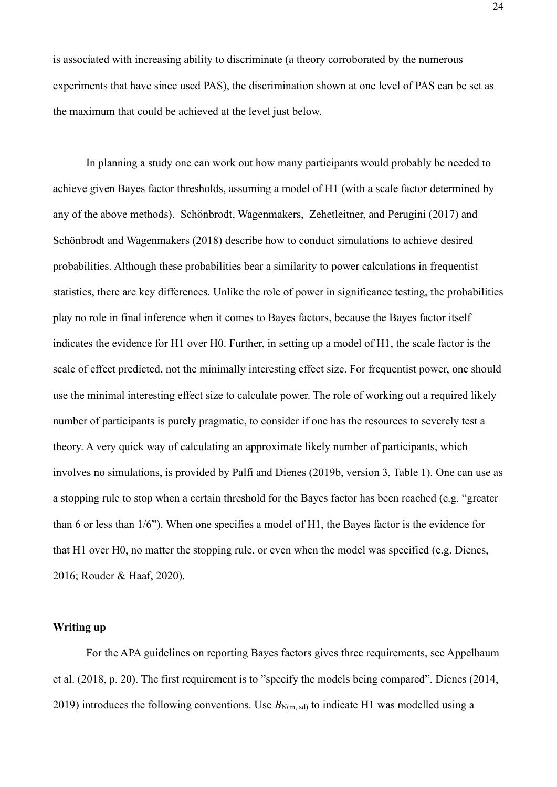is associated with increasing ability to discriminate (a theory corroborated by the numerous experiments that have since used PAS), the discrimination shown at one level of PAS can be set as the maximum that could be achieved at the level just below.

In planning a study one can work out how many participants would probably be needed to achieve given Bayes factor thresholds, assuming a model of H1 (with a scale factor determined by any of the above methods). Schönbrodt, Wagenmakers, Zehetleitner, and Perugini (2017) and Schönbrodt and Wagenmakers (2018) describe how to conduct simulations to achieve desired probabilities. Although these probabilities bear a similarity to power calculations in frequentist statistics, there are key differences. Unlike the role of power in significance testing, the probabilities play no role in final inference when it comes to Bayes factors, because the Bayes factor itself indicates the evidence for H1 over H0. Further, in setting up a model of H1, the scale factor is the scale of effect predicted, not the minimally interesting effect size. For frequentist power, one should use the minimal interesting effect size to calculate power. The role of working out a required likely number of participants is purely pragmatic, to consider if one has the resources to severely test a theory. A very quick way of calculating an approximate likely number of participants, which involves no simulations, is provided by Palfi and Dienes (2019b, version 3, Table 1). One can use as a stopping rule to stop when a certain threshold for the Bayes factor has been reached (e.g. "greater than 6 or less than 1/6"). When one specifies a model of H1, the Bayes factor is the evidence for that H1 over H0, no matter the stopping rule, or even when the model was specified (e.g. Dienes, 2016; Rouder & Haaf, 2020).

#### **Writing up**

For the APA guidelines on reporting Bayes factors gives three requirements, see Appelbaum et al. (2018, p. 20). The first requirement is to "specify the models being compared". Dienes (2014, 2019) introduces the following conventions. Use  $B_{N(m, sd)}$  to indicate H1 was modelled using a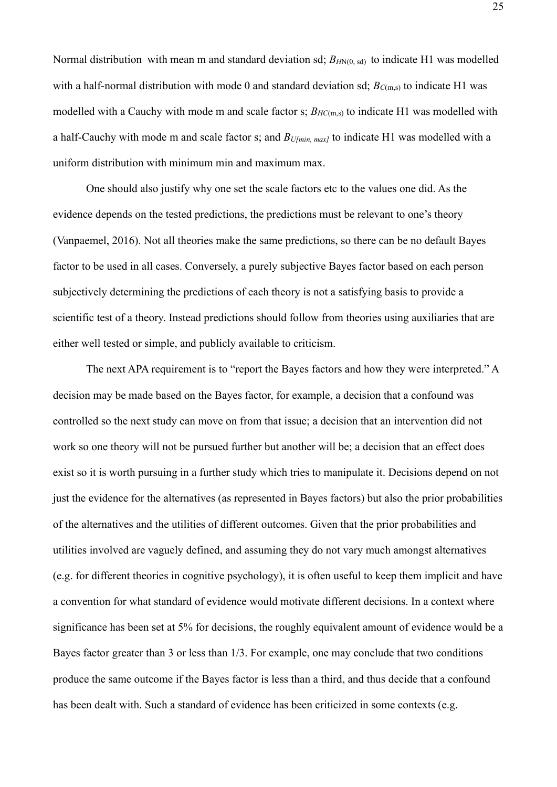Normal distribution with mean m and standard deviation sd;  $B_{HN(0, sd)}$  to indicate H1 was modelled with a half-normal distribution with mode 0 and standard deviation sd;  $B_{C(m,s)}$  to indicate H1 was modelled with a Cauchy with mode m and scale factor s;  $B_{HC(m,s)}$  to indicate H1 was modelled with a half-Cauchy with mode m and scale factor s; and *BU[min, max]* to indicate H1 was modelled with a uniform distribution with minimum min and maximum max.

One should also justify why one set the scale factors etc to the values one did. As the evidence depends on the tested predictions, the predictions must be relevant to one's theory (Vanpaemel, 2016). Not all theories make the same predictions, so there can be no default Bayes factor to be used in all cases. Conversely, a purely subjective Bayes factor based on each person subjectively determining the predictions of each theory is not a satisfying basis to provide a scientific test of a theory. Instead predictions should follow from theories using auxiliaries that are either well tested or simple, and publicly available to criticism.

The next APA requirement is to "report the Bayes factors and how they were interpreted." A decision may be made based on the Bayes factor, for example, a decision that a confound was controlled so the next study can move on from that issue; a decision that an intervention did not work so one theory will not be pursued further but another will be; a decision that an effect does exist so it is worth pursuing in a further study which tries to manipulate it. Decisions depend on not just the evidence for the alternatives (as represented in Bayes factors) but also the prior probabilities of the alternatives and the utilities of different outcomes. Given that the prior probabilities and utilities involved are vaguely defined, and assuming they do not vary much amongst alternatives (e.g. for different theories in cognitive psychology), it is often useful to keep them implicit and have a convention for what standard of evidence would motivate different decisions. In a context where significance has been set at 5% for decisions, the roughly equivalent amount of evidence would be a Bayes factor greater than 3 or less than 1/3. For example, one may conclude that two conditions produce the same outcome if the Bayes factor is less than a third, and thus decide that a confound has been dealt with. Such a standard of evidence has been criticized in some contexts (e.g.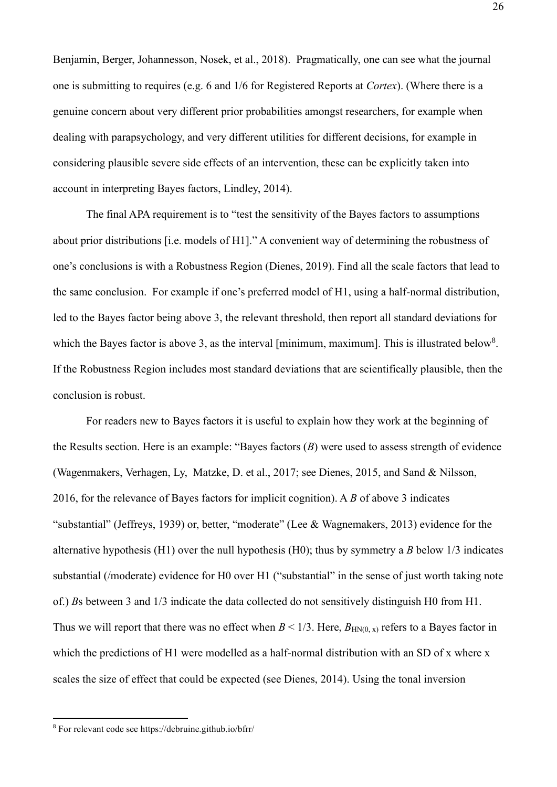Benjamin, Berger, Johannesson, Nosek, et al., 2018). Pragmatically, one can see what the journal one is submitting to requires (e.g. 6 and 1/6 for Registered Reports at *Cortex*). (Where there is a genuine concern about very different prior probabilities amongst researchers, for example when dealing with parapsychology, and very different utilities for different decisions, for example in considering plausible severe side effects of an intervention, these can be explicitly taken into account in interpreting Bayes factors, Lindley, 2014).

The final APA requirement is to "test the sensitivity of the Bayes factors to assumptions about prior distributions [i.e. models of H1]." A convenient way of determining the robustness of one's conclusions is with a Robustness Region (Dienes, 2019). Find all the scale factors that lead to the same conclusion. For example if one's preferred model of H1, using a half-normal distribution, led to the Bayes factor being above 3, the relevant threshold, then report all standard deviations for which the Bayes factor is above 3, as the interval [minimum, maximum]. This is illustrated below<sup>8</sup>. If the Robustness Region includes most standard deviations that are scientifically plausible, then the conclusion is robust.

For readers new to Bayes factors it is useful to explain how they work at the beginning of the Results section. Here is an example: "Bayes factors (*B*) were used to assess strength of evidence (Wagenmakers, Verhagen, Ly, Matzke, D. et al., 2017; see Dienes, 2015, and Sand & Nilsson, 2016, for the relevance of Bayes factors for implicit cognition). A *B* of above 3 indicates "substantial" (Jeffreys, 1939) or, better, "moderate" (Lee & Wagnemakers, 2013) evidence for the alternative hypothesis (H1) over the null hypothesis (H0); thus by symmetry a *B* below 1/3 indicates substantial (/moderate) evidence for H0 over H1 ("substantial" in the sense of just worth taking note of.) *B*s between 3 and 1/3 indicate the data collected do not sensitively distinguish H0 from H1. Thus we will report that there was no effect when  $B < 1/3$ . Here,  $B_{HN(0, x)}$  refers to a Bayes factor in which the predictions of H1 were modelled as a half-normal distribution with an SD of x where x scales the size of effect that could be expected (see Dienes, 2014). Using the tonal inversion

<sup>8</sup> For relevant code see https://debruine.github.io/bfrr/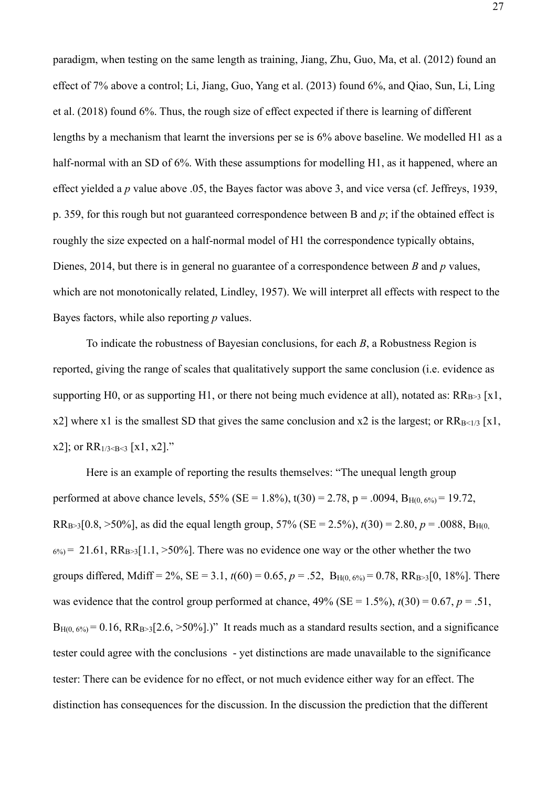paradigm, when testing on the same length as training, Jiang, Zhu, Guo, Ma, et al. (2012) found an effect of 7% above a control; Li, Jiang, Guo, Yang et al. (2013) found 6%, and Qiao, Sun, Li, Ling et al. (2018) found 6%. Thus, the rough size of effect expected if there is learning of different lengths by a mechanism that learnt the inversions per se is 6% above baseline. We modelled H1 as a half-normal with an SD of 6%. With these assumptions for modelling H1, as it happened, where an effect yielded a *p* value above .05, the Bayes factor was above 3, and vice versa (cf. Jeffreys, 1939, p. 359, for this rough but not guaranteed correspondence between B and *p*; if the obtained effect is roughly the size expected on a half-normal model of H1 the correspondence typically obtains, Dienes, 2014, but there is in general no guarantee of a correspondence between *B* and *p* values, which are not monotonically related, Lindley, 1957). We will interpret all effects with respect to the Bayes factors, while also reporting *p* values.

To indicate the robustness of Bayesian conclusions, for each *B*, a Robustness Region is reported, giving the range of scales that qualitatively support the same conclusion (i.e. evidence as supporting H0, or as supporting H1, or there not being much evidence at all), notated as:  $RR_{B\geq 3}$  [x1, x2] where x1 is the smallest SD that gives the same conclusion and x2 is the largest; or  $RR_{B \leq 1/3}$  [x1, x2]; or  $RR_{1/3 \leq B \leq 3}$  [x1, x2]."

Here is an example of reporting the results themselves: "The unequal length group performed at above chance levels, 55% (SE = 1.8%),  $t(30) = 2.78$ ,  $p = .0094$ ,  $B_{H(0.6%)} = 19.72$ , RR<sub>B>3</sub>[0.8, >50%], as did the equal length group, 57% (SE = 2.5%),  $t(30) = 2.80$ ,  $p = .0088$ , B<sub>H(0</sub>,  $6\% = 21.61$ ,  $RR_{B>3}[1.1, >50\%]$ . There was no evidence one way or the other whether the two groups differed, Mdiff = 2%, SE = 3.1,  $t(60) = 0.65$ ,  $p = .52$ ,  $B_{H(0.6%)} = 0.78$ ,  $RR_{B>3}[0, 18%]$ . There was evidence that the control group performed at chance,  $49\%$  (SE = 1.5%),  $t(30) = 0.67$ ,  $p = .51$ ,  $B_{H(0.6\%)} = 0.16$ ,  $RR_{B>3}[2.6, >50\%]$ .)" It reads much as a standard results section, and a significance tester could agree with the conclusions - yet distinctions are made unavailable to the significance tester: There can be evidence for no effect, or not much evidence either way for an effect. The distinction has consequences for the discussion. In the discussion the prediction that the different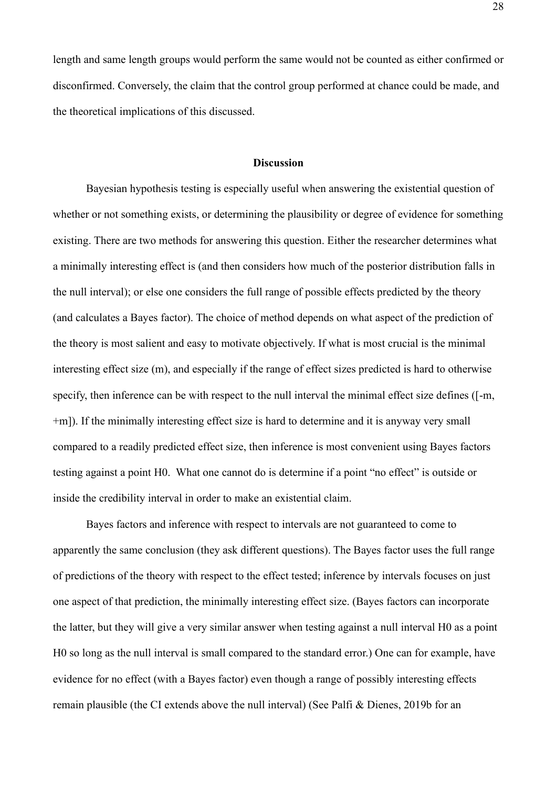length and same length groups would perform the same would not be counted as either confirmed or disconfirmed. Conversely, the claim that the control group performed at chance could be made, and the theoretical implications of this discussed.

# **Discussion**

Bayesian hypothesis testing is especially useful when answering the existential question of whether or not something exists, or determining the plausibility or degree of evidence for something existing. There are two methods for answering this question. Either the researcher determines what a minimally interesting effect is (and then considers how much of the posterior distribution falls in the null interval); or else one considers the full range of possible effects predicted by the theory (and calculates a Bayes factor). The choice of method depends on what aspect of the prediction of the theory is most salient and easy to motivate objectively. If what is most crucial is the minimal interesting effect size (m), and especially if the range of effect sizes predicted is hard to otherwise specify, then inference can be with respect to the null interval the minimal effect size defines ([-m, +m]). If the minimally interesting effect size is hard to determine and it is anyway very small compared to a readily predicted effect size, then inference is most convenient using Bayes factors testing against a point H0. What one cannot do is determine if a point "no effect" is outside or inside the credibility interval in order to make an existential claim.

Bayes factors and inference with respect to intervals are not guaranteed to come to apparently the same conclusion (they ask different questions). The Bayes factor uses the full range of predictions of the theory with respect to the effect tested; inference by intervals focuses on just one aspect of that prediction, the minimally interesting effect size. (Bayes factors can incorporate the latter, but they will give a very similar answer when testing against a null interval H0 as a point H0 so long as the null interval is small compared to the standard error.) One can for example, have evidence for no effect (with a Bayes factor) even though a range of possibly interesting effects remain plausible (the CI extends above the null interval) (See Palfi & Dienes, 2019b for an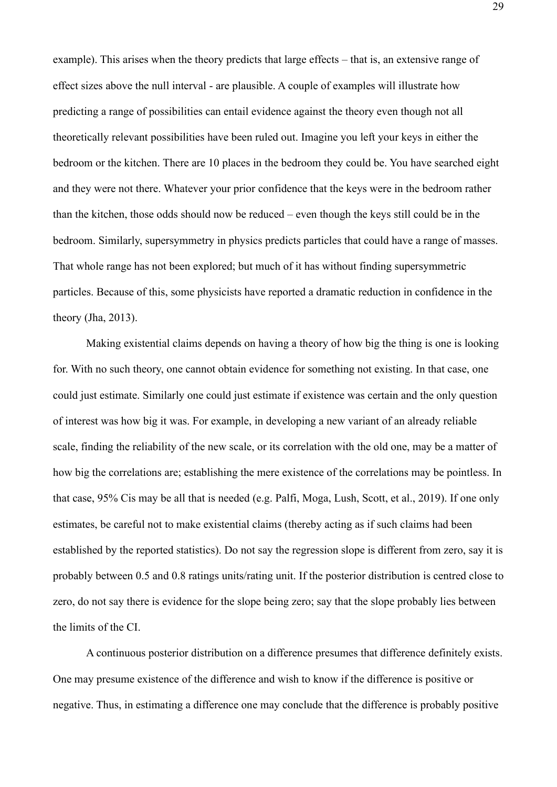example). This arises when the theory predicts that large effects – that is, an extensive range of effect sizes above the null interval - are plausible. A couple of examples will illustrate how predicting a range of possibilities can entail evidence against the theory even though not all theoretically relevant possibilities have been ruled out. Imagine you left your keys in either the bedroom or the kitchen. There are 10 places in the bedroom they could be. You have searched eight and they were not there. Whatever your prior confidence that the keys were in the bedroom rather than the kitchen, those odds should now be reduced – even though the keys still could be in the bedroom. Similarly, supersymmetry in physics predicts particles that could have a range of masses. That whole range has not been explored; but much of it has without finding supersymmetric particles. Because of this, some physicists have reported a dramatic reduction in confidence in the theory (Jha, 2013).

Making existential claims depends on having a theory of how big the thing is one is looking for. With no such theory, one cannot obtain evidence for something not existing. In that case, one could just estimate. Similarly one could just estimate if existence was certain and the only question of interest was how big it was. For example, in developing a new variant of an already reliable scale, finding the reliability of the new scale, or its correlation with the old one, may be a matter of how big the correlations are; establishing the mere existence of the correlations may be pointless. In that case, 95% Cis may be all that is needed (e.g. Palfi, Moga, Lush, Scott, et al., 2019). If one only estimates, be careful not to make existential claims (thereby acting as if such claims had been established by the reported statistics). Do not say the regression slope is different from zero, say it is probably between 0.5 and 0.8 ratings units/rating unit. If the posterior distribution is centred close to zero, do not say there is evidence for the slope being zero; say that the slope probably lies between the limits of the CI.

A continuous posterior distribution on a difference presumes that difference definitely exists. One may presume existence of the difference and wish to know if the difference is positive or negative. Thus, in estimating a difference one may conclude that the difference is probably positive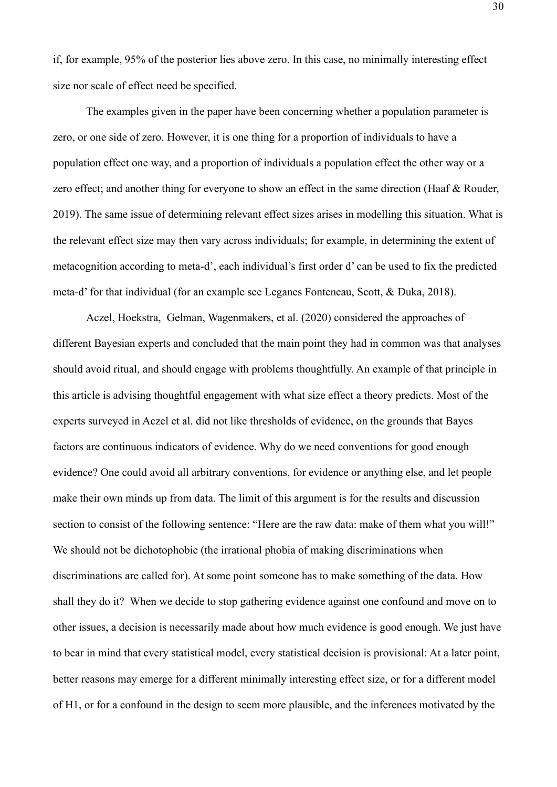if, for example, 95% of the posterior lies above zero. In this case, no minimally interesting effect size nor scale of effect need be specified.

The examples given in the paper have been concerning whether a population parameter is zero, or one side of zero. However, it is one thing for a proportion of individuals to have a population effect one way, and a proportion of individuals a population effect the other way or a zero effect; and another thing for everyone to show an effect in the same direction (Haaf & Rouder, 2019). The same issue of determining relevant effect sizes arises in modelling this situation. What is the relevant effect size may then vary across individuals; for example, in determining the extent of metacognition according to meta-d', each individual's first order d' can be used to fix the predicted meta-d' for that individual (for an example see Leganes Fonteneau, Scott, & Duka, 2018).

Aczel, Hoekstra, Gelman, Wagenmakers, et al. (2020) considered the approaches of different Bayesian experts and concluded that the main point they had in common was that analyses should avoid ritual, and should engage with problems thoughtfully. An example of that principle in this article is advising thoughtful engagement with what size effect a theory predicts. Most of the experts surveyed in Aczel et al. did not like thresholds of evidence, on the grounds that Bayes factors are continuous indicators of evidence. Why do we need conventions for good enough evidence? One could avoid all arbitrary conventions, for evidence or anything else, and let people make their own minds up from data. The limit of this argument is for the results and discussion section to consist of the following sentence: "Here are the raw data: make of them what you will!" We should not be dichotophobic (the irrational phobia of making discriminations when discriminations are called for). At some point someone has to make something of the data. How shall they do it? When we decide to stop gathering evidence against one confound and move on to other issues, a decision is necessarily made about how much evidence is good enough. We just have to bear in mind that every statistical model, every statistical decision is provisional: At a later point, better reasons may emerge for a different minimally interesting effect size, or for a different model of H1, or for a confound in the design to seem more plausible, and the inferences motivated by the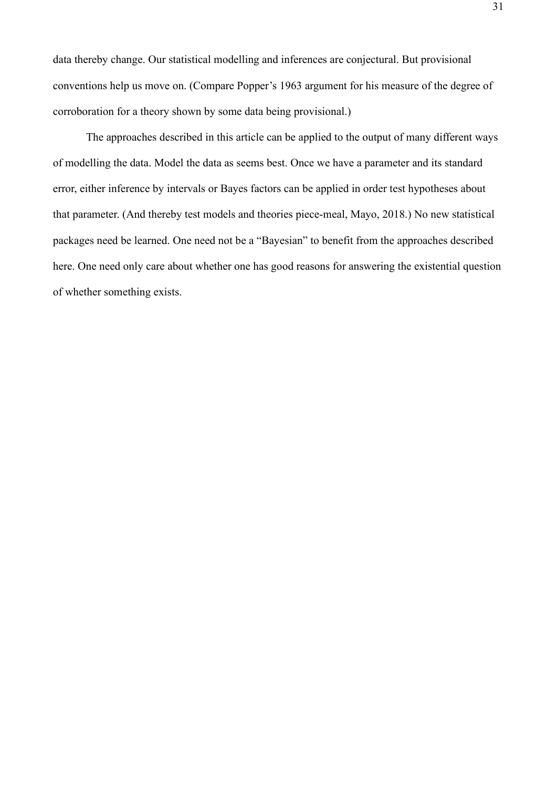data thereby change. Our statistical modelling and inferences are conjectural. But provisional conventions help us move on. (Compare Popper's 1963 argument for his measure of the degree of corroboration for a theory shown by some data being provisional.)

The approaches described in this article can be applied to the output of many different ways of modelling the data. Model the data as seems best. Once we have a parameter and its standard error, either inference by intervals or Bayes factors can be applied in order test hypotheses about that parameter. (And thereby test models and theories piece-meal, Mayo, 2018.) No new statistical packages need be learned. One need not be a "Bayesian" to benefit from the approaches described here. One need only care about whether one has good reasons for answering the existential question of whether something exists.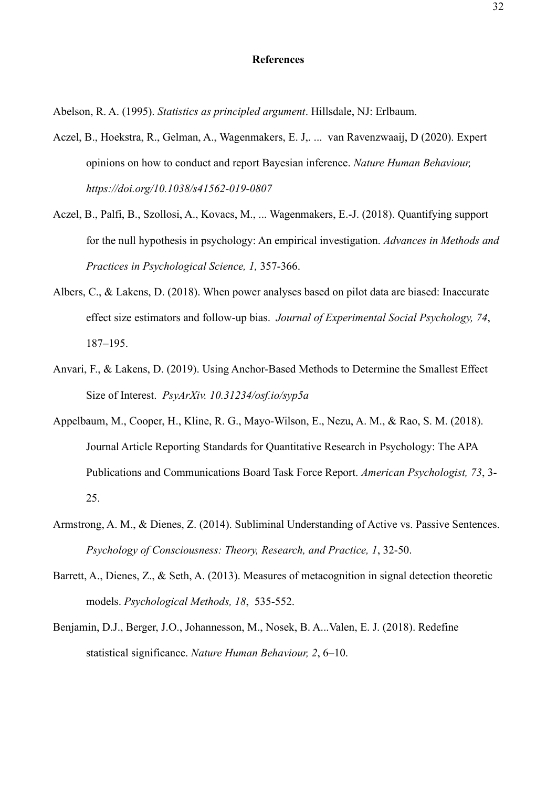#### **References**

Abelson, R. A. (1995). *Statistics as principled argument*. Hillsdale, NJ: Erlbaum.

- Aczel, B., Hoekstra, R., Gelman, A., Wagenmakers, E. J,. ... van Ravenzwaaij, D (2020). Expert opinions on how to conduct and report Bayesian inference. *Nature Human Behaviour, https://doi.org/10.1038/s41562-019-0807*
- Aczel, B., Palfi, B., Szollosi, A., Kovacs, M., ... Wagenmakers, E.-J. (2018). Quantifying support for the null hypothesis in psychology: An empirical investigation. *Advances in Methods and Practices in Psychological Science, 1,* 357-366.
- Albers, C., & Lakens, D. (2018). When power analyses based on pilot data are biased: Inaccurate effect size estimators and follow-up bias. *Journal of Experimental Social Psychology, 74*, 187–195.
- Anvari, F., & Lakens, D. (2019). Using Anchor-Based Methods to Determine the Smallest Effect Size of Interest. *PsyArXiv. 10.31234/osf.io/syp5a*
- Appelbaum, M., Cooper, H., Kline, R. G., Mayo-Wilson, E., Nezu, A. M., & Rao, S. M. (2018). Journal Article Reporting Standards for Quantitative Research in Psychology: The APA Publications and Communications Board Task Force Report. *American Psychologist, 73*, 3- 25.
- Armstrong, A. M., & Dienes, Z. (2014). Subliminal Understanding of Active vs. Passive Sentences. *Psychology of Consciousness: Theory, Research, and Practice, 1*, 32-50.
- Barrett, A., Dienes, Z., & Seth, A. (2013). Measures of metacognition in signal detection theoretic models. *Psychological Methods, 18*, 535-552.
- Benjamin, D.J., Berger, J.O., Johannesson, M., Nosek, B. A...Valen, E. J. (2018). Redefine statistical significance. *Nature Human Behaviour, 2*, 6–10.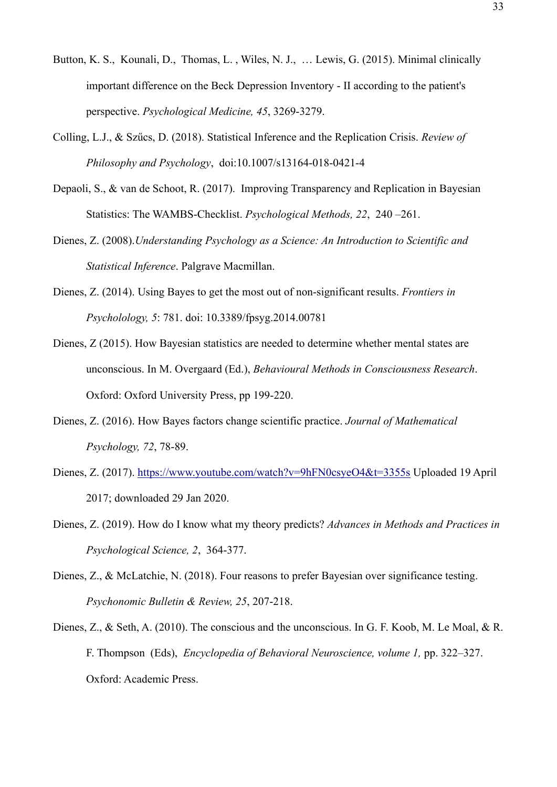- Button, K. S., Kounali, D., Thomas, L., Wiles, N. J., ... Lewis, G. (2015). Minimal clinically important difference on the Beck Depression Inventory - II according to the patient's perspective. *Psychological Medicine, 45*, 3269-3279.
- Colling, L.J., & Szűcs, D. (2018). Statistical Inference and the Replication Crisis. *Review of Philosophy and Psychology*, doi:10.1007/s13164-018-0421-4
- Depaoli, S., & van de Schoot, R. (2017). Improving Transparency and Replication in Bayesian Statistics: The WAMBS-Checklist. *Psychological Methods, 22*, 240 –261.
- Dienes, Z. (2008).*Understanding Psychology as a Science: An Introduction to Scientific and Statistical Inference*. Palgrave Macmillan.
- Dienes, Z. (2014). Using Bayes to get the most out of non-significant results. *Frontiers in Psycholology, 5*: 781. doi: 10.3389/fpsyg.2014.00781
- Dienes, Z (2015). How Bayesian statistics are needed to determine whether mental states are unconscious. In M. Overgaard (Ed.), *Behavioural Methods in Consciousness Research*. Oxford: Oxford University Press, pp 199-220.
- Dienes, Z. (2016). How Bayes factors change scientific practice. *Journal of Mathematical Psychology, 72*, 78-89.
- Dienes, Z. (2017).<https://www.youtube.com/watch?v=9hFN0csyeO4&t=3355s> Uploaded 19 April 2017; downloaded 29 Jan 2020.
- Dienes, Z. (2019). How do I know what my theory predicts? *Advances in Methods and Practices in Psychological Science, 2*, 364-377.
- Dienes, Z., & McLatchie, N. (2018). Four reasons to prefer Bayesian over significance testing. *Psychonomic Bulletin & Review, 25*, 207-218.
- Dienes, Z., & Seth, A. (2010). The conscious and the unconscious. In G. F. Koob, M. Le Moal, & R. F. Thompson (Eds), *Encyclopedia of Behavioral Neuroscience, volume 1,* pp. 322–327. Oxford: Academic Press.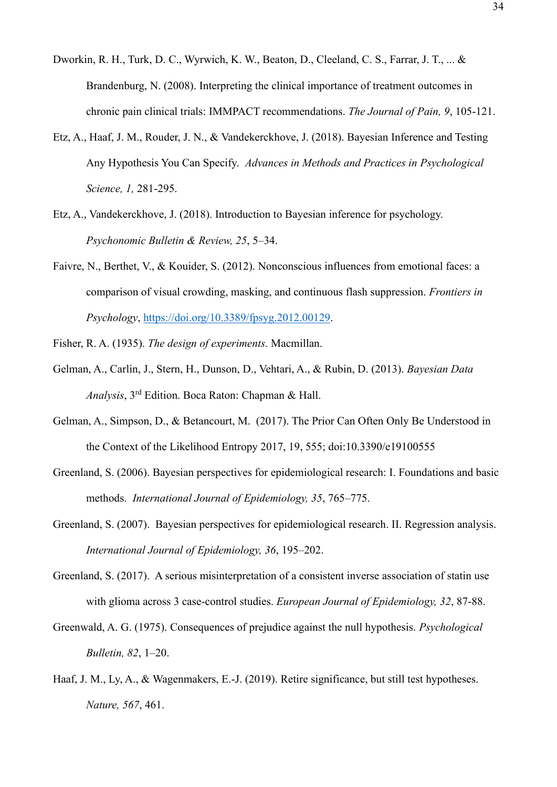- Dworkin, R. H., Turk, D. C., Wyrwich, K. W., Beaton, D., Cleeland, C. S., Farrar, J. T., ... & Brandenburg, N. (2008). Interpreting the clinical importance of treatment outcomes in chronic pain clinical trials: IMMPACT recommendations. *The Journal of Pain, 9*, 105-121.
- Etz, A., Haaf, J. M., Rouder, J. N., & Vandekerckhove, J. (2018). Bayesian Inference and Testing Any Hypothesis You Can Specify. *Advances in Methods and Practices in Psychological Science, 1,* 281-295.
- Etz, A., Vandekerckhove, J. (2018). Introduction to Bayesian inference for psychology. *Psychonomic Bulletin & Review, 25*, 5–34.
- Faivre, N., Berthet, V., & Kouider, S. (2012). Nonconscious influences from emotional faces: a comparison of visual crowding, masking, and continuous flash suppression. *Frontiers in Psychology*, [https://doi.org/10.3389/fpsyg.2012.00129.](https://doi.org/10.3389/fpsyg.2012.00129)
- Fisher, R. A. (1935). *The design of experiments.* Macmillan.
- Gelman, A., Carlin, J., Stern, H., Dunson, D., Vehtari, A., & Rubin, D. (2013). *Bayesian Data Analysis*, 3rd Edition. Boca Raton: Chapman & Hall.
- Gelman, A., Simpson, D., & Betancourt, M. (2017). The Prior Can Often Only Be Understood in the Context of the Likelihood Entropy 2017, 19, 555; doi:10.3390/e19100555
- Greenland, S. (2006). Bayesian perspectives for epidemiological research: I. Foundations and basic methods. *International Journal of Epidemiology, 35*, 765–775.
- Greenland, S. (2007). Bayesian perspectives for epidemiological research. II. Regression analysis. *International Journal of Epidemiology, 36*, 195–202.
- Greenland, S. (2017). A serious misinterpretation of a consistent inverse association of statin use with glioma across 3 case-control studies. *European Journal of Epidemiology, 32*, 87-88.
- Greenwald, A. G. (1975). Consequences of prejudice against the null hypothesis. *Psychological Bulletin, 82*, 1–20.
- Haaf, J. M., Ly, A., & Wagenmakers, E.-J. (2019). Retire significance, but still test hypotheses. *Nature, 567*, 461.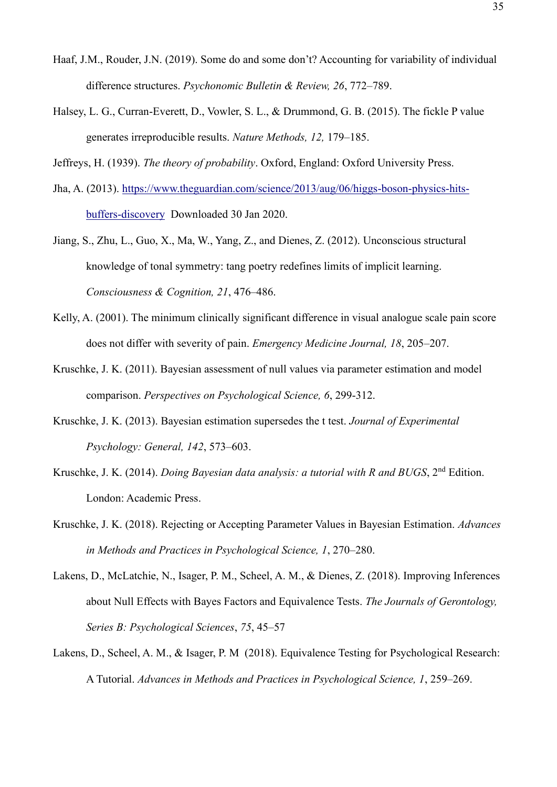- Haaf, J.M., Rouder, J.N. (2019). Some do and some don't? Accounting for variability of individual difference structures. *Psychonomic Bulletin & Review, 26*, 772–789.
- Halsey, L. G., Curran-Everett, D., Vowler, S. L., & Drummond, G. B. (2015). The fickle P value generates irreproducible results. *Nature Methods, 12,* 179–185.

Jeffreys, H. (1939). *The theory of probability*. Oxford, England: Oxford University Press.

- Jha, A. (2013). [https://www.theguardian.com/science/2013/aug/06/higgs-boson-physics-hits](https://www.theguardian.com/science/2013/aug/06/higgs-boson-physics-hits-buffers-discovery)[buffers-discovery](https://www.theguardian.com/science/2013/aug/06/higgs-boson-physics-hits-buffers-discovery) Downloaded 30 Jan 2020.
- Jiang, S., Zhu, L., Guo, X., Ma, W., Yang, Z., and Dienes, Z. (2012). Unconscious structural knowledge of tonal symmetry: tang poetry redefines limits of implicit learning. *Consciousness & Cognition, 21*, 476–486.
- Kelly, A. (2001). The minimum clinically significant difference in visual analogue scale pain score does not differ with severity of pain. *Emergency Medicine Journal, 18*, 205–207.
- Kruschke, J. K. (2011). Bayesian assessment of null values via parameter estimation and model comparison. *Perspectives on Psychological Science, 6*, 299-312.
- Kruschke, J. K. (2013). Bayesian estimation supersedes the t test. *Journal of Experimental Psychology: General, 142*, 573–603.
- Kruschke, J. K. (2014). *Doing Bayesian data analysis: a tutorial with R and BUGS*, 2nd Edition. London: Academic Press.
- Kruschke, J. K. (2018). Rejecting or Accepting Parameter Values in Bayesian Estimation. *Advances in Methods and Practices in Psychological Science, 1*, 270–280.
- Lakens, D., McLatchie, N., Isager, P. M., Scheel, A. M., & Dienes, Z. (2018). Improving Inferences about Null Effects with Bayes Factors and Equivalence Tests. *The Journals of Gerontology, Series B: Psychological Sciences*, *75*, 45–57
- Lakens, D., Scheel, A. M., & Isager, P. M (2018). Equivalence Testing for Psychological Research: A Tutorial. *Advances in Methods and Practices in Psychological Science, 1*, 259–269.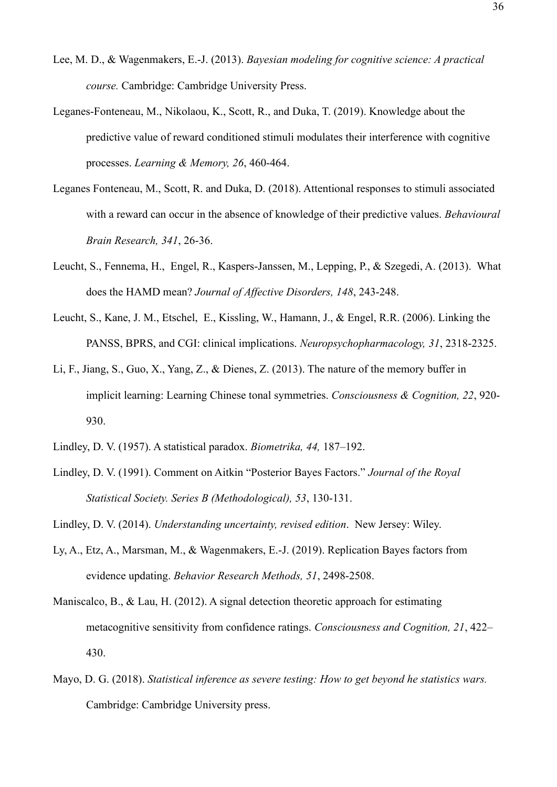- Lee, M. D., & Wagenmakers, E.-J. (2013). *Bayesian modeling for cognitive science: A practical course.* Cambridge: Cambridge University Press.
- Leganes-Fonteneau, M., Nikolaou, K., Scott, R., and Duka, T. (2019). Knowledge about the predictive value of reward conditioned stimuli modulates their interference with cognitive processes. *Learning & Memory, 26*, 460-464.
- Leganes Fonteneau, M., Scott, R. and Duka, D. (2018). Attentional responses to stimuli associated with a reward can occur in the absence of knowledge of their predictive values. *Behavioural Brain Research, 341*, 26-36.
- Leucht, S., Fennema, H., Engel, R., Kaspers-Janssen, M., Lepping, P., & Szegedi, A. (2013). What does the HAMD mean? *Journal of Affective Disorders, 148*, 243-248.
- Leucht, S., Kane, J. M., Etschel, E., Kissling, W., Hamann, J., & Engel, R.R. (2006). Linking the PANSS, BPRS, and CGI: clinical implications. *Neuropsychopharmacology, 31*, 2318-2325.
- Li, F., Jiang, S., Guo, X., Yang, Z., & Dienes, Z. (2013). The nature of the memory buffer in implicit learning: Learning Chinese tonal symmetries. *Consciousness & Cognition, 22*, 920- 930.
- Lindley, D. V. (1957). A statistical paradox. *Biometrika, 44,* 187–192.
- Lindley, D. V. (1991). Comment on Aitkin "Posterior Bayes Factors." *Journal of the Royal Statistical Society. Series B (Methodological), 53*, 130-131.
- Lindley, D. V. (2014). *Understanding uncertainty, revised edition*. New Jersey: Wiley.
- Ly, A., Etz, A., Marsman, M., & Wagenmakers, E.-J. (2019). Replication Bayes factors from evidence updating. *Behavior Research Methods, 51*, 2498-2508.
- Maniscalco, B., & Lau, H. (2012). A signal detection theoretic approach for estimating metacognitive sensitivity from confidence ratings. *Consciousness and Cognition, 21*, 422– 430.
- Mayo, D. G. (2018). *Statistical inference as severe testing: How to get beyond he statistics wars.* Cambridge: Cambridge University press.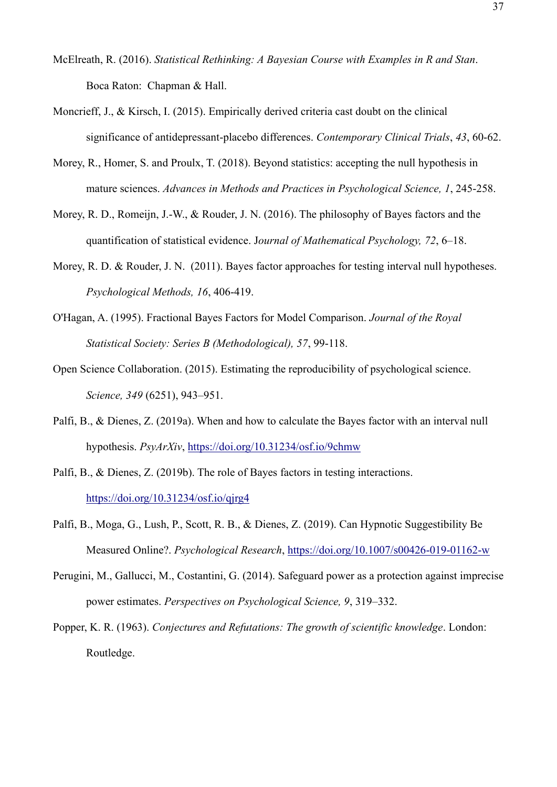- McElreath, R. (2016). *Statistical Rethinking: A Bayesian Course with Examples in R and Stan*. Boca Raton: Chapman & Hall.
- Moncrieff, J., & Kirsch, I. (2015). Empirically derived criteria cast doubt on the clinical significance of antidepressant-placebo differences. *Contemporary Clinical Trials*, *43*, 60-62.
- Morey, R., Homer, S. and Proulx, T. (2018). Beyond statistics: accepting the null hypothesis in mature sciences. *Advances in Methods and Practices in Psychological Science, 1*, 245-258.
- Morey, R. D., Romeijn, J.-W., & Rouder, J. N. (2016). The philosophy of Bayes factors and the quantification of statistical evidence. J*ournal of Mathematical Psychology, 72*, 6–18.
- Morey, R. D. & Rouder, J. N. (2011). Bayes factor approaches for testing interval null hypotheses. *Psychological Methods, 16*, 406-419.
- O'Hagan, A. (1995). Fractional Bayes Factors for Model Comparison. *Journal of the Royal Statistical Society: Series B (Methodological), 57*, 99-118.
- Open Science Collaboration. (2015). Estimating the reproducibility of psychological science. *Science, 349* (6251), 943–951.
- Palfi, B., & Dienes, Z. (2019a). When and how to calculate the Bayes factor with an interval null hypothesis. *PsyArXiv*,<https://doi.org/10.31234/osf.io/9chmw>
- Palfi, B., & Dienes, Z. (2019b). The role of Bayes factors in testing interactions. <https://doi.org/10.31234/osf.io/qjrg4>
- Palfi, B., Moga, G., Lush, P., Scott, R. B., & Dienes, Z. (2019). Can Hypnotic Suggestibility Be Measured Online?. *Psychological Research*,<https://doi.org/10.1007/s00426-019-01162-w>
- Perugini, M., Gallucci, M., Costantini, G. (2014). Safeguard power as a protection against imprecise power estimates. *Perspectives on Psychological Science, 9*, 319–332.
- Popper, K. R. (1963). *Conjectures and Refutations: The growth of scientific knowledge*. London: Routledge.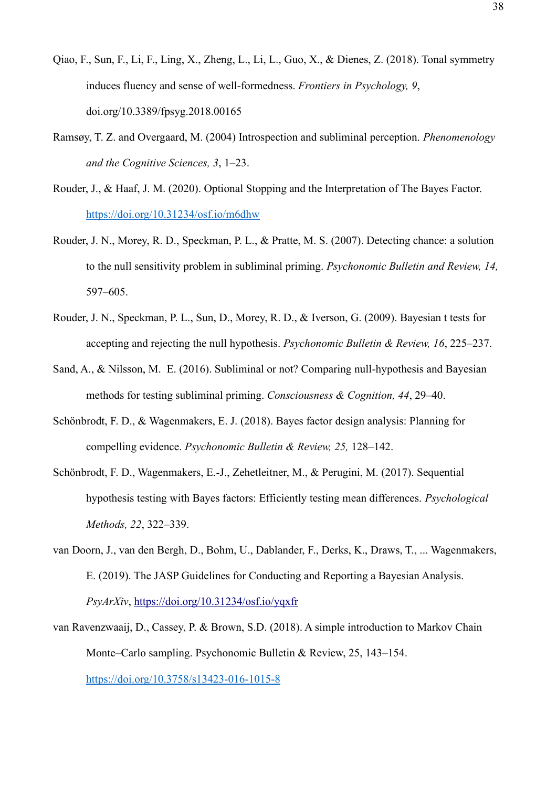- Qiao, F., Sun, F., Li, F., Ling, X., Zheng, L., Li, L., Guo, X., & Dienes, Z. (2018). Tonal symmetry induces fluency and sense of well-formedness. *Frontiers in Psychology, 9*, doi.org/10.3389/fpsyg.2018.00165
- Ramsøy, T. Z. and Overgaard, M. (2004) Introspection and subliminal perception. *Phenomenology and the Cognitive Sciences, 3*, 1–23.
- Rouder, J., & Haaf, J. M. (2020). Optional Stopping and the Interpretation of The Bayes Factor. <https://doi.org/10.31234/osf.io/m6dhw>
- Rouder, J. N., Morey, R. D., Speckman, P. L., & Pratte, M. S. (2007). Detecting chance: a solution to the null sensitivity problem in subliminal priming. *Psychonomic Bulletin and Review, 14,* 597–605.
- Rouder, J. N., Speckman, P. L., Sun, D., Morey, R. D., & Iverson, G. (2009). Bayesian t tests for accepting and rejecting the null hypothesis. *Psychonomic Bulletin & Review, 16*, 225–237.
- Sand, A., & Nilsson, M. E. (2016). Subliminal or not? Comparing null-hypothesis and Bayesian methods for testing subliminal priming. *Consciousness & Cognition, 44*, 29–40.
- Schönbrodt, F. D., & Wagenmakers, E. J. (2018). Bayes factor design analysis: Planning for compelling evidence. *Psychonomic Bulletin & Review, 25,* 128–142.
- Schönbrodt, F. D., Wagenmakers, E.-J., Zehetleitner, M., & Perugini, M. (2017). Sequential hypothesis testing with Bayes factors: Efficiently testing mean differences. *Psychological Methods, 22*, 322–339.
- van Doorn, J., van den Bergh, D., Bohm, U., Dablander, F., Derks, K., Draws, T., ... Wagenmakers, E. (2019). The JASP Guidelines for Conducting and Reporting a Bayesian Analysis. *PsyArXiv*,<https://doi.org/10.31234/osf.io/yqxfr>
- van Ravenzwaaij, D., Cassey, P. & Brown, S.D. (2018). A simple introduction to Markov Chain Monte–Carlo sampling. Psychonomic Bulletin & Review, 25, 143–154. <https://doi.org/10.3758/s13423-016-1015-8>